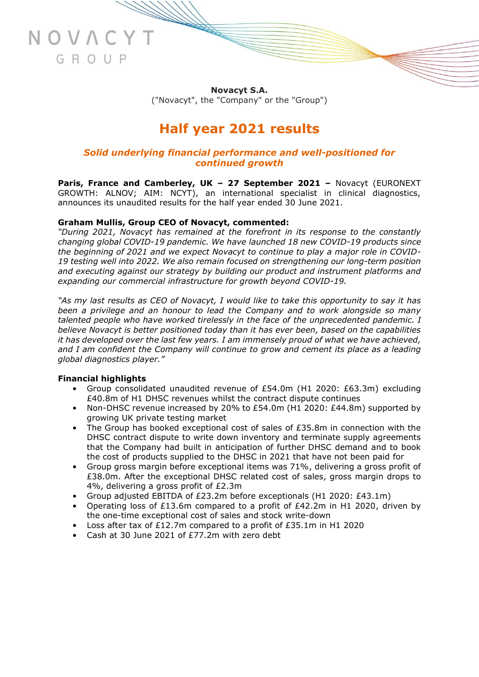

**Novacyt S.A.** ("Novacyt", the "Company" or the "Group")

# **Half year 2021 results**

#### *Solid underlying financial performance and well-positioned for continued growth*

**Paris, France and Camberley, UK – 27 September 2021 –** Novacyt (EURONEXT GROWTH: ALNOV; AIM: NCYT), an international specialist in clinical diagnostics, announces its unaudited results for the half year ended 30 June 2021.

#### **Graham Mullis, Group CEO of Novacyt, commented:**

*"During 2021, Novacyt has remained at the forefront in its response to the constantly changing global COVID-19 pandemic. We have launched 18 new COVID-19 products since the beginning of 2021 and we expect Novacyt to continue to play a major role in COVID-19 testing well into 2022. We also remain focused on strengthening our long-term position and executing against our strategy by building our product and instrument platforms and expanding our commercial infrastructure for growth beyond COVID-19.*

*"As my last results as CEO of Novacyt, I would like to take this opportunity to say it has been a privilege and an honour to lead the Company and to work alongside so many talented people who have worked tirelessly in the face of the unprecedented pandemic. I believe Novacyt is better positioned today than it has ever been, based on the capabilities it has developed over the last few years. I am immensely proud of what we have achieved, and I am confident the Company will continue to grow and cement its place as a leading global diagnostics player."* 

#### **Financial highlights**

- Group consolidated unaudited revenue of £54.0m (H1 2020: £63.3m) excluding £40.8m of H1 DHSC revenues whilst the contract dispute continues
- Non-DHSC revenue increased by 20% to £54.0m (H1 2020: £44.8m) supported by growing UK private testing market
- The Group has booked exceptional cost of sales of £35.8m in connection with the DHSC contract dispute to write down inventory and terminate supply agreements that the Company had built in anticipation of further DHSC demand and to book the cost of products supplied to the DHSC in 2021 that have not been paid for
- Group gross margin before exceptional items was 71%, delivering a gross profit of £38.0m. After the exceptional DHSC related cost of sales, gross margin drops to 4%, delivering a gross profit of £2.3m
- Group adjusted EBITDA of £23.2m before exceptionals (H1 2020: £43.1m)
- Operating loss of £13.6m compared to a profit of £42.2m in H1 2020, driven by the one-time exceptional cost of sales and stock write-down
- Loss after tax of £12.7m compared to a profit of £35.1m in H1 2020
- Cash at 30 June 2021 of £77.2m with zero debt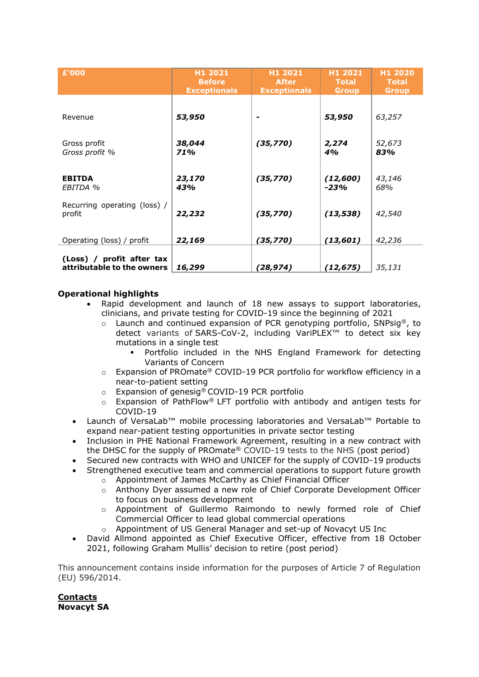| £'000                                                   | H1 2021<br><b>Before</b><br><b>Exceptionals</b> | H1 2021<br><b>After</b><br><b>Exceptionals</b> | H1 2021<br><b>Total</b><br><b>Group</b> | H1 2020<br><b>Total</b><br><b>Group</b> |
|---------------------------------------------------------|-------------------------------------------------|------------------------------------------------|-----------------------------------------|-----------------------------------------|
| Revenue                                                 | 53,950                                          |                                                | 53,950                                  | 63,257                                  |
| Gross profit<br>Gross profit %                          | 38,044<br>71%                                   | (35, 770)                                      | 2,274<br>4%                             | 52,673<br>83%                           |
| <b>EBITDA</b><br>EBITDA %                               | 23,170<br>43%                                   | (35, 770)                                      | (12, 600)<br>$-23%$                     | 43,146<br>68%                           |
| Recurring operating (loss) /<br>profit                  | 22,232                                          | (35, 770)                                      | (13, 538)                               | 42,540                                  |
| Operating (loss) / profit                               | 22,169                                          | (35, 770)                                      | (13, 601)                               | 42,236                                  |
| (Loss) / profit after tax<br>attributable to the owners | 16,299                                          | (28,974)                                       | (12, 675)                               | 35,131                                  |

#### **Operational highlights**

- Rapid development and launch of 18 new assays to support laboratories, clinicians, and private testing for COVID-19 since the beginning of 2021
	- $\circ$  Launch and continued expansion of PCR genotyping portfolio, SNPsig®, to detect variants of SARS-CoV-2, including VariPLEX™ to detect six key mutations in a single test
		- Portfolio included in the NHS England Framework for detecting Variants of Concern
	- $\circ$  Expansion of PROmate® COVID-19 PCR portfolio for workflow efficiency in a near-to-patient setting
	- Expansion of genesig® COVID-19 PCR portfolio
	- $\circ$  Expansion of PathFlow® LFT portfolio with antibody and antigen tests for COVID-19
- Launch of VersaLab™ mobile processing laboratories and VersaLab™ Portable to expand near-patient testing opportunities in private sector testing
- Inclusion in PHE National Framework Agreement, resulting in a new contract with the DHSC for the supply of PROmate® COVID-19 tests to the NHS (post period)
- Secured new contracts with WHO and UNICEF for the supply of COVID-19 products
- Strengthened executive team and commercial operations to support future growth
	- o Appointment of James McCarthy as Chief Financial Officer
	- o Anthony Dyer assumed a new role of Chief Corporate Development Officer to focus on business development
	- o Appointment of Guillermo Raimondo to newly formed role of Chief Commercial Officer to lead global commercial operations
	- o Appointment of US General Manager and set-up of Novacyt US Inc
- David Allmond appointed as Chief Executive Officer, effective from 18 October 2021, following Graham Mullis' decision to retire (post period)

This announcement contains inside information for the purposes of Article 7 of Regulation (EU) 596/2014.

**Contacts Novacyt SA**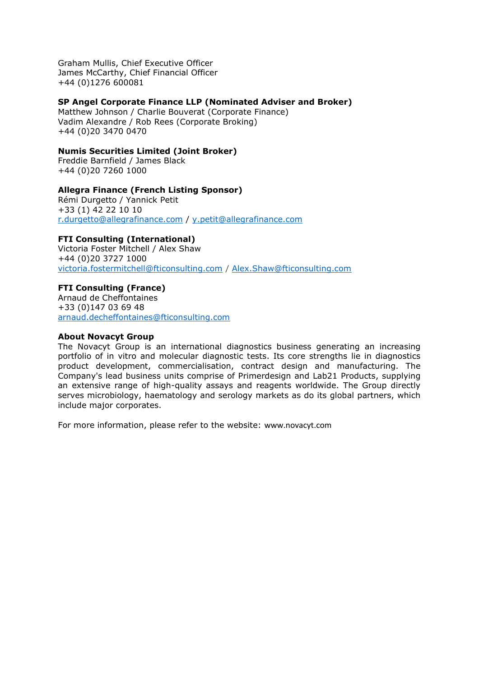Graham Mullis, Chief Executive Officer James McCarthy, Chief Financial Officer +44 (0)1276 600081

#### **SP Angel Corporate Finance LLP (Nominated Adviser and Broker)**

Matthew Johnson / Charlie Bouverat (Corporate Finance) Vadim Alexandre / Rob Rees (Corporate Broking) +44 (0)20 3470 0470

#### **Numis Securities Limited (Joint Broker)**

Freddie Barnfield / James Black +44 (0)20 7260 1000

#### **Allegra Finance (French Listing Sponsor)**

Rémi Durgetto / Yannick Petit +33 (1) 42 22 10 10 [r.durgetto@allegrafinance.com](mailto:r.durgetto@allegrafinance.com) / [y.petit@allegrafinance.com](mailto:y.petit@allegrafinance.com)

#### **FTI Consulting (International)**

Victoria Foster Mitchell / Alex Shaw +44 (0)20 3727 1000 [victoria.fostermitchell@fticonsulting.com](mailto:victoria.fostermitchell@fticonsulting.com) / [Alex.Shaw@fticonsulting.com](mailto:Alex.Shaw@fticonsulting.com)

#### **FTI Consulting (France)**

Arnaud de Cheffontaines +33 (0)147 03 69 48 [arnaud.decheffontaines@fticonsulting.com](mailto:arnaud.decheffontaines@fticonsulting.com)

#### **About Novacyt Group**

The Novacyt Group is an international diagnostics business generating an increasing portfolio of in vitro and molecular diagnostic tests. Its core strengths lie in diagnostics product development, commercialisation, contract design and manufacturing. The Company's lead business units comprise of Primerdesign and Lab21 Products, supplying an extensive range of high-quality assays and reagents worldwide. The Group directly serves microbiology, haematology and serology markets as do its global partners, which include major corporates.

For more information, please refer to the website: www.novacyt.com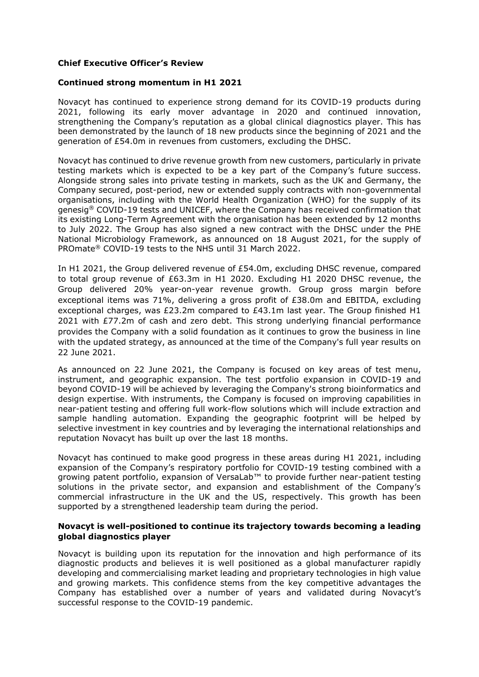#### **Chief Executive Officer's Review**

#### **Continued strong momentum in H1 2021**

Novacyt has continued to experience strong demand for its COVID-19 products during 2021, following its early mover advantage in 2020 and continued innovation, strengthening the Company's reputation as a global clinical diagnostics player. This has been demonstrated by the launch of 18 new products since the beginning of 2021 and the generation of £54.0m in revenues from customers, excluding the DHSC.

Novacyt has continued to drive revenue growth from new customers, particularly in private testing markets which is expected to be a key part of the Company's future success. Alongside strong sales into private testing in markets, such as the UK and Germany, the Company secured, post-period, new or extended supply contracts with non-governmental organisations, including with the World Health Organization (WHO) for the supply of its genesig® COVID-19 tests and UNICEF, where the Company has received confirmation that its existing Long-Term Agreement with the organisation has been extended by 12 months to July 2022. The Group has also signed a new contract with the DHSC under the PHE National Microbiology Framework, as announced on 18 August 2021, for the supply of PROmate® COVID-19 tests to the NHS until 31 March 2022.

In H1 2021, the Group delivered revenue of £54.0m, excluding DHSC revenue, compared to total group revenue of £63.3m in H1 2020. Excluding H1 2020 DHSC revenue, the Group delivered 20% year-on-year revenue growth. Group gross margin before exceptional items was 71%, delivering a gross profit of  $E38.0m$  and EBITDA, excluding exceptional charges, was £23.2m compared to £43.1m last year. The Group finished H1 2021 with £77.2m of cash and zero debt. This strong underlying financial performance provides the Company with a solid foundation as it continues to grow the business in line with the updated strategy, as announced at the time of the Company's full year results on 22 June 2021.

As announced on 22 June 2021, the Company is focused on key areas of test menu, instrument, and geographic expansion. The test portfolio expansion in COVID-19 and beyond COVID-19 will be achieved by leveraging the Company's strong bioinformatics and design expertise. With instruments, the Company is focused on improving capabilities in near-patient testing and offering full work-flow solutions which will include extraction and sample handling automation. Expanding the geographic footprint will be helped by selective investment in key countries and by leveraging the international relationships and reputation Novacyt has built up over the last 18 months.

Novacyt has continued to make good progress in these areas during H1 2021, including expansion of the Company's respiratory portfolio for COVID-19 testing combined with a growing patent portfolio, expansion of VersaLab™ to provide further near-patient testing solutions in the private sector, and expansion and establishment of the Company's commercial infrastructure in the UK and the US, respectively. This growth has been supported by a strengthened leadership team during the period.

#### **Novacyt is well-positioned to continue its trajectory towards becoming a leading global diagnostics player**

Novacyt is building upon its reputation for the innovation and high performance of its diagnostic products and believes it is well positioned as a global manufacturer rapidly developing and commercialising market leading and proprietary technologies in high value and growing markets. This confidence stems from the key competitive advantages the Company has established over a number of years and validated during Novacyt's successful response to the COVID-19 pandemic.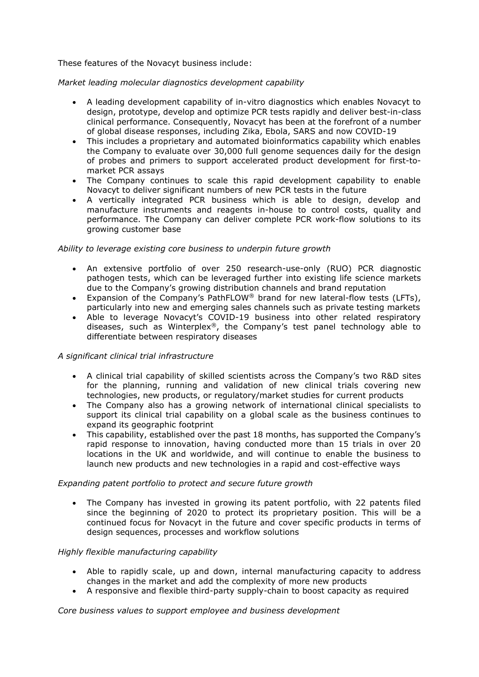#### These features of the Novacyt business include:

#### *Market leading molecular diagnostics development capability*

- A leading development capability of in-vitro diagnostics which enables Novacyt to design, prototype, develop and optimize PCR tests rapidly and deliver best-in-class clinical performance. Consequently, Novacyt has been at the forefront of a number of global disease responses, including Zika, Ebola, SARS and now COVID-19
- This includes a proprietary and automated bioinformatics capability which enables the Company to evaluate over 30,000 full genome sequences daily for the design of probes and primers to support accelerated product development for first-tomarket PCR assays
- The Company continues to scale this rapid development capability to enable Novacyt to deliver significant numbers of new PCR tests in the future
- A vertically integrated PCR business which is able to design, develop and manufacture instruments and reagents in-house to control costs, quality and performance. The Company can deliver complete PCR work-flow solutions to its growing customer base

#### *Ability to leverage existing core business to underpin future growth*

- An extensive portfolio of over 250 research-use-only (RUO) PCR diagnostic pathogen tests, which can be leveraged further into existing life science markets due to the Company's growing distribution channels and brand reputation
- Expansion of the Company's PathFLOW® brand for new lateral-flow tests (LFTs), particularly into new and emerging sales channels such as private testing markets
- Able to leverage Novacyt's COVID-19 business into other related respiratory diseases, such as Winterplex®, the Company's test panel technology able to differentiate between respiratory diseases

#### *A significant clinical trial infrastructure*

- A clinical trial capability of skilled scientists across the Company's two R&D sites for the planning, running and validation of new clinical trials covering new technologies, new products, or regulatory/market studies for current products
- The Company also has a growing network of international clinical specialists to support its clinical trial capability on a global scale as the business continues to expand its geographic footprint
- This capability, established over the past 18 months, has supported the Company's rapid response to innovation, having conducted more than 15 trials in over 20 locations in the UK and worldwide, and will continue to enable the business to launch new products and new technologies in a rapid and cost-effective ways

#### *Expanding patent portfolio to protect and secure future growth*

• The Company has invested in growing its patent portfolio, with 22 patents filed since the beginning of 2020 to protect its proprietary position. This will be a continued focus for Novacyt in the future and cover specific products in terms of design sequences, processes and workflow solutions

#### *Highly flexible manufacturing capability*

- Able to rapidly scale, up and down, internal manufacturing capacity to address changes in the market and add the complexity of more new products
- A responsive and flexible third-party supply-chain to boost capacity as required

*Core business values to support employee and business development*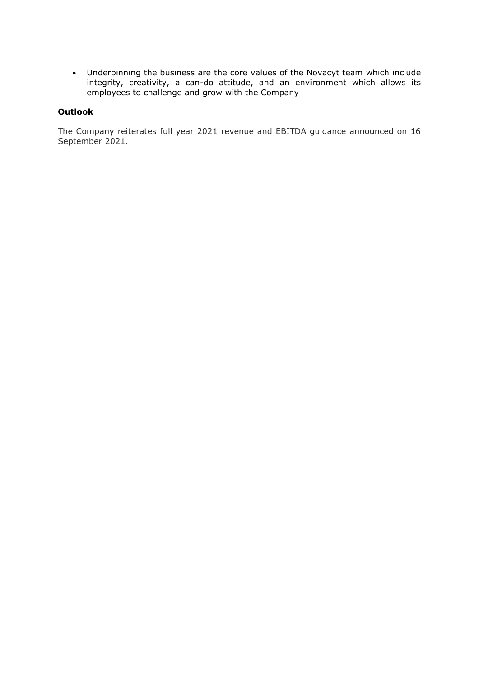• Underpinning the business are the core values of the Novacyt team which include integrity, creativity, a can-do attitude, and an environment which allows its employees to challenge and grow with the Company

#### **Outlook**

The Company reiterates full year 2021 revenue and EBITDA guidance announced on 16 September 2021.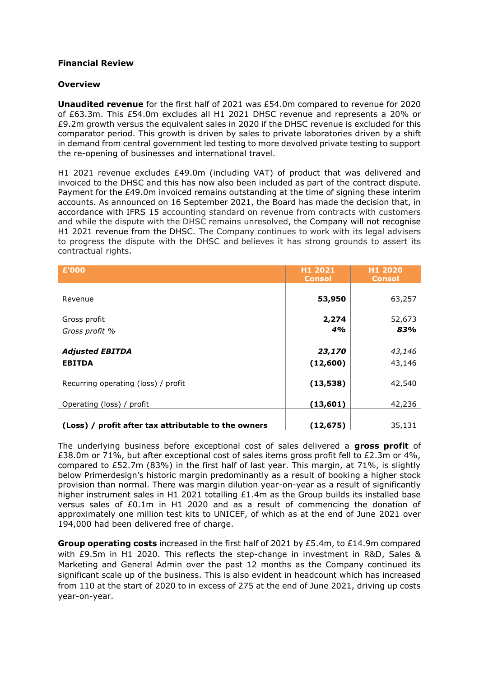#### **Financial Review**

#### **Overview**

**Unaudited revenue** for the first half of 2021 was £54.0m compared to revenue for 2020 of £63.3m. This £54.0m excludes all H1 2021 DHSC revenue and represents a 20% or £9.2m growth versus the equivalent sales in 2020 if the DHSC revenue is excluded for this comparator period. This growth is driven by sales to private laboratories driven by a shift in demand from central government led testing to more devolved private testing to support the re-opening of businesses and international travel.

H1 2021 revenue excludes £49.0m (including VAT) of product that was delivered and invoiced to the DHSC and this has now also been included as part of the contract dispute. Payment for the £49.0m invoiced remains outstanding at the time of signing these interim accounts. As announced on 16 September 2021, the Board has made the decision that, in accordance with IFRS 15 accounting standard on revenue from contracts with customers and while the dispute with the DHSC remains unresolved, the Company will not recognise H1 2021 revenue from the DHSC. The Company continues to work with its legal advisers to progress the dispute with the DHSC and believes it has strong grounds to assert its contractual rights.

| £'000                                                | H1 2021<br><b>Consol</b> | H1 2020<br><b>Consol</b> |
|------------------------------------------------------|--------------------------|--------------------------|
| Revenue                                              | 53,950                   | 63,257                   |
| Gross profit                                         | 2,274                    | 52,673                   |
| Gross profit %                                       | 4%                       | 83%                      |
| <b>Adjusted EBITDA</b>                               | 23,170                   | 43,146                   |
| <b>EBITDA</b>                                        | (12,600)                 | 43,146                   |
| Recurring operating (loss) / profit                  | (13, 538)                | 42,540                   |
| Operating (loss) / profit                            | (13, 601)                | 42,236                   |
| (Loss) / profit after tax attributable to the owners | (12, 675)                | 35,131                   |

The underlying business before exceptional cost of sales delivered a **gross profit** of £38.0m or 71%, but after exceptional cost of sales items gross profit fell to £2.3m or 4%, compared to £52.7m (83%) in the first half of last year. This margin, at 71%, is slightly below Primerdesign's historic margin predominantly as a result of booking a higher stock provision than normal. There was margin dilution year-on-year as a result of significantly higher instrument sales in H1 2021 totalling  $£1.4m$  as the Group builds its installed base versus sales of £0.1m in H1 2020 and as a result of commencing the donation of approximately one million test kits to UNICEF, of which as at the end of June 2021 over 194,000 had been delivered free of charge.

**Group operating costs** increased in the first half of 2021 by £5.4m, to £14.9m compared with £9.5m in H1 2020. This reflects the step-change in investment in R&D, Sales & Marketing and General Admin over the past 12 months as the Company continued its significant scale up of the business. This is also evident in headcount which has increased from 110 at the start of 2020 to in excess of 275 at the end of June 2021, driving up costs year-on-year.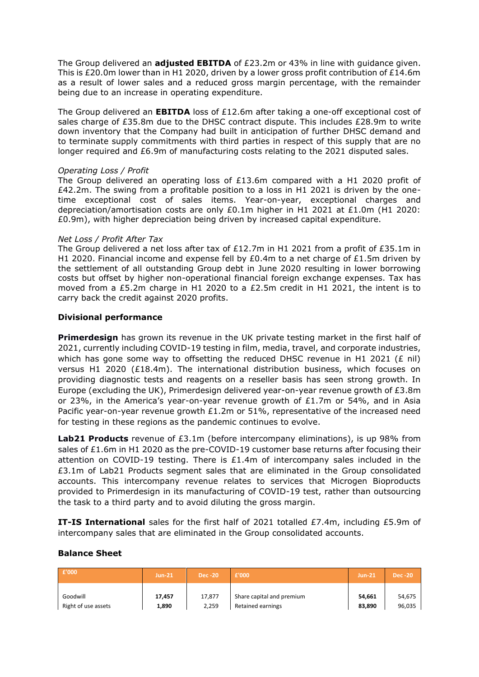The Group delivered an **adjusted EBITDA** of £23.2m or 43% in line with guidance given. This is £20.0m lower than in H1 2020, driven by a lower gross profit contribution of £14.6m as a result of lower sales and a reduced gross margin percentage, with the remainder being due to an increase in operating expenditure.

The Group delivered an **EBITDA** loss of £12.6m after taking a one-off exceptional cost of sales charge of £35.8m due to the DHSC contract dispute. This includes £28.9m to write down inventory that the Company had built in anticipation of further DHSC demand and to terminate supply commitments with third parties in respect of this supply that are no longer required and £6.9m of manufacturing costs relating to the 2021 disputed sales.

#### *Operating Loss / Profit*

The Group delivered an operating loss of £13.6m compared with a H1 2020 profit of £42.2m. The swing from a profitable position to a loss in H1 2021 is driven by the onetime exceptional cost of sales items. Year-on-year, exceptional charges and depreciation/amortisation costs are only £0.1m higher in H1 2021 at £1.0m (H1 2020: £0.9m), with higher depreciation being driven by increased capital expenditure.

#### *Net Loss / Profit After Tax*

The Group delivered a net loss after tax of £12.7m in H1 2021 from a profit of £35.1m in H1 2020. Financial income and expense fell by £0.4m to a net charge of £1.5m driven by the settlement of all outstanding Group debt in June 2020 resulting in lower borrowing costs but offset by higher non-operational financial foreign exchange expenses. Tax has moved from a £5.2m charge in H1 2020 to a £2.5m credit in H1 2021, the intent is to carry back the credit against 2020 profits.

#### **Divisional performance**

**Primerdesign** has grown its revenue in the UK private testing market in the first half of 2021, currently including COVID-19 testing in film, media, travel, and corporate industries, which has gone some way to offsetting the reduced DHSC revenue in H1 2021 (£ nil) versus H1 2020 (£18.4m). The international distribution business, which focuses on providing diagnostic tests and reagents on a reseller basis has seen strong growth. In Europe (excluding the UK), Primerdesign delivered year-on-year revenue growth of £3.8m or 23%, in the America's year-on-year revenue growth of £1.7m or 54%, and in Asia Pacific year-on-year revenue growth  $£1.2m$  or  $51\%$ , representative of the increased need for testing in these regions as the pandemic continues to evolve.

**Lab21 Products** revenue of £3.1m (before intercompany eliminations), is up 98% from sales of  $£1.6$ m in H1 2020 as the pre-COVID-19 customer base returns after focusing their attention on COVID-19 testing. There is £1.4m of intercompany sales included in the £3.1m of Lab21 Products segment sales that are eliminated in the Group consolidated accounts. This intercompany revenue relates to services that Microgen Bioproducts provided to Primerdesign in its manufacturing of COVID-19 test, rather than outsourcing the task to a third party and to avoid diluting the gross margin.

**IT-IS International** sales for the first half of 2021 totalled £7.4m, including £5.9m of intercompany sales that are eliminated in the Group consolidated accounts.

#### **Balance Sheet**

| £'000               | $Jun-21$ | <b>Dec-20</b> | £'000                     | $Jun-21$ | <b>Dec-20</b> |
|---------------------|----------|---------------|---------------------------|----------|---------------|
| Goodwill            | 17,457   | 17,877        | Share capital and premium | 54,661   | 54,675        |
| Right of use assets | 1,890    | 2,259         | Retained earnings         | 83,890   | 96,035        |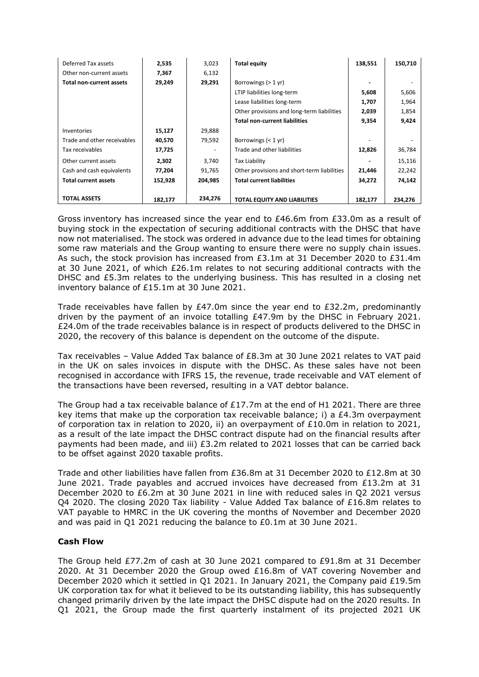| Deferred Tax assets             | 2,535   | 3,023   | <b>Total equity</b>                         | 138,551 | 150,710 |
|---------------------------------|---------|---------|---------------------------------------------|---------|---------|
| Other non-current assets        | 7,367   | 6,132   |                                             |         |         |
| <b>Total non-current assets</b> | 29,249  | 29,291  | Borrowings $(>1$ yr)                        |         |         |
|                                 |         |         | LTIP liabilities long-term                  | 5,608   | 5,606   |
|                                 |         |         | Lease liabilities long-term                 | 1,707   | 1,964   |
|                                 |         |         | Other provisions and long-term liabilities  | 2,039   | 1,854   |
|                                 |         |         | <b>Total non-current liabilities</b>        | 9,354   | 9,424   |
| Inventories                     | 15,127  | 29,888  |                                             |         |         |
| Trade and other receivables     | 40,570  | 79,592  | Borrowings $(< 1 yr)$                       |         |         |
| Tax receivables                 | 17,725  |         | Trade and other liabilities                 | 12,826  | 36,784  |
| Other current assets            | 2,302   | 3,740   | Tax Liability                               |         | 15,116  |
| Cash and cash equivalents       | 77,204  | 91,765  | Other provisions and short-term liabilities | 21,446  | 22,242  |
| <b>Total current assets</b>     | 152,928 | 204,985 | <b>Total current liabilities</b>            | 34,272  | 74,142  |
|                                 |         |         |                                             |         |         |
| <b>TOTAL ASSETS</b>             | 182,177 | 234,276 | <b>TOTAL EQUITY AND LIABILITIES</b>         | 182,177 | 234,276 |

Gross inventory has increased since the year end to  $E46.6m$  from  $E33.0m$  as a result of buying stock in the expectation of securing additional contracts with the DHSC that have now not materialised. The stock was ordered in advance due to the lead times for obtaining some raw materials and the Group wanting to ensure there were no supply chain issues. As such, the stock provision has increased from £3.1m at 31 December 2020 to £31.4m at 30 June 2021, of which £26.1m relates to not securing additional contracts with the DHSC and £5.3m relates to the underlying business. This has resulted in a closing net inventory balance of £15.1m at 30 June 2021.

Trade receivables have fallen by  $E47.0m$  since the year end to  $E32.2m$ , predominantly driven by the payment of an invoice totalling £47.9m by the DHSC in February 2021. £24.0m of the trade receivables balance is in respect of products delivered to the DHSC in 2020, the recovery of this balance is dependent on the outcome of the dispute.

Tax receivables – Value Added Tax balance of £8.3m at 30 June 2021 relates to VAT paid in the UK on sales invoices in dispute with the DHSC. As these sales have not been recognised in accordance with IFRS 15, the revenue, trade receivable and VAT element of the transactions have been reversed, resulting in a VAT debtor balance.

The Group had a tax receivable balance of  $£17.7m$  at the end of H1 2021. There are three key items that make up the corporation tax receivable balance; i) a  $E4.3m$  overpayment of corporation tax in relation to 2020, ii) an overpayment of £10.0m in relation to 2021, as a result of the late impact the DHSC contract dispute had on the financial results after payments had been made, and iii) £3.2m related to 2021 losses that can be carried back to be offset against 2020 taxable profits.

Trade and other liabilities have fallen from £36.8m at 31 December 2020 to £12.8m at 30 June 2021. Trade payables and accrued invoices have decreased from  $£13.2m$  at 31 December 2020 to £6.2m at 30 June 2021 in line with reduced sales in Q2 2021 versus Q4 2020. The closing 2020 Tax liability - Value Added Tax balance of £16.8m relates to VAT payable to HMRC in the UK covering the months of November and December 2020 and was paid in Q1 2021 reducing the balance to £0.1m at 30 June 2021.

#### **Cash Flow**

The Group held £77.2m of cash at 30 June 2021 compared to £91.8m at 31 December 2020. At 31 December 2020 the Group owed £16.8m of VAT covering November and December 2020 which it settled in Q1 2021. In January 2021, the Company paid £19.5m UK corporation tax for what it believed to be its outstanding liability, this has subsequently changed primarily driven by the late impact the DHSC dispute had on the 2020 results. In Q1 2021, the Group made the first quarterly instalment of its projected 2021 UK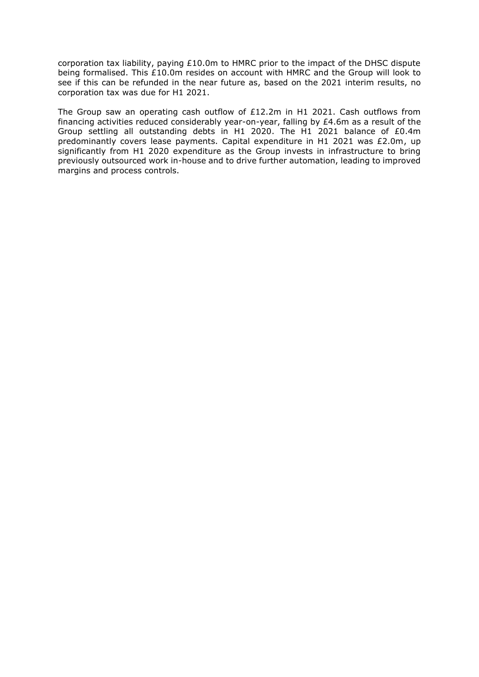corporation tax liability, paying £10.0m to HMRC prior to the impact of the DHSC dispute being formalised. This £10.0m resides on account with HMRC and the Group will look to see if this can be refunded in the near future as, based on the 2021 interim results, no corporation tax was due for H1 2021.

The Group saw an operating cash outflow of £12.2m in H1 2021. Cash outflows from financing activities reduced considerably year-on-year, falling by £4.6m as a result of the Group settling all outstanding debts in H1 2020. The H1 2021 balance of £0.4m predominantly covers lease payments. Capital expenditure in H1 2021 was £2.0m, up significantly from H1 2020 expenditure as the Group invests in infrastructure to bring previously outsourced work in-house and to drive further automation, leading to improved margins and process controls.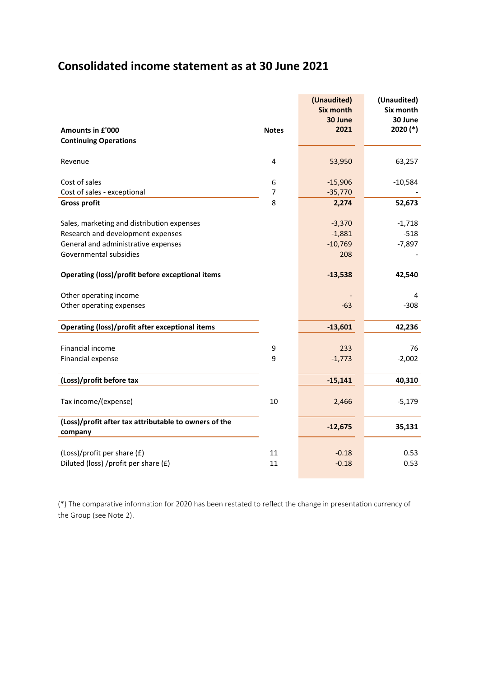# **Consolidated income statement as at 30 June 2021**

|                                                                  |                | (Unaudited)<br><b>Six month</b><br>30 June | (Unaudited)<br>Six month<br>30 June |
|------------------------------------------------------------------|----------------|--------------------------------------------|-------------------------------------|
| Amounts in £'000                                                 | <b>Notes</b>   | 2021                                       | 2020 (*)                            |
| <b>Continuing Operations</b>                                     |                |                                            |                                     |
|                                                                  |                |                                            |                                     |
| Revenue                                                          | $\overline{4}$ | 53,950                                     | 63,257                              |
| Cost of sales                                                    | 6              | $-15,906$                                  | $-10,584$                           |
| Cost of sales - exceptional                                      | 7              | $-35,770$                                  |                                     |
| <b>Gross profit</b>                                              | 8              | 2,274                                      | 52,673                              |
| Sales, marketing and distribution expenses                       |                | $-3,370$                                   | $-1,718$                            |
| Research and development expenses                                |                | $-1,881$                                   | $-518$                              |
| General and administrative expenses                              |                | $-10,769$                                  | $-7,897$                            |
| Governmental subsidies                                           |                | 208                                        |                                     |
| <b>Operating (loss)/profit before exceptional items</b>          |                | $-13,538$                                  | 42,540                              |
| Other operating income                                           |                |                                            | 4                                   |
| Other operating expenses                                         |                | $-63$                                      | $-308$                              |
| <b>Operating (loss)/profit after exceptional items</b>           |                | $-13,601$                                  | 42,236                              |
| Financial income                                                 | 9              | 233                                        | 76                                  |
| Financial expense                                                | 9              | $-1,773$                                   | $-2,002$                            |
|                                                                  |                |                                            |                                     |
| (Loss)/profit before tax                                         |                | $-15,141$                                  | 40,310                              |
| Tax income/(expense)                                             | 10             | 2,466                                      | $-5,179$                            |
| (Loss)/profit after tax attributable to owners of the<br>company |                | $-12,675$                                  | 35,131                              |
|                                                                  |                |                                            |                                     |
| (Loss)/profit per share (£)                                      | 11             | $-0.18$                                    | 0.53                                |
| Diluted (loss) /profit per share (£)                             | 11             | $-0.18$                                    | 0.53                                |

(\*) The comparative information for 2020 has been restated to reflect the change in presentation currency of the Group (see Note 2).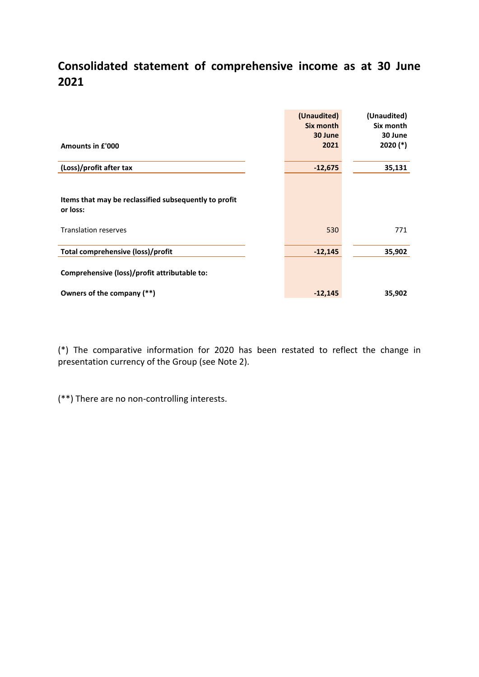# **Consolidated statement of comprehensive income as at 30 June 2021**

| Amounts in £'000                                                                                 | (Unaudited)<br><b>Six month</b><br>30 June<br>2021 | (Unaudited)<br>Six month<br>30 June<br>$2020$ $(*)$ |
|--------------------------------------------------------------------------------------------------|----------------------------------------------------|-----------------------------------------------------|
| (Loss)/profit after tax                                                                          | $-12,675$                                          | 35,131                                              |
| Items that may be reclassified subsequently to profit<br>or loss:<br><b>Translation reserves</b> | 530                                                | 771                                                 |
|                                                                                                  |                                                    |                                                     |
| Total comprehensive (loss)/profit                                                                | $-12,145$                                          | 35,902                                              |
| Comprehensive (loss)/profit attributable to:                                                     |                                                    |                                                     |
| Owners of the company (**)                                                                       | $-12,145$                                          | 35,902                                              |

(\*) The comparative information for 2020 has been restated to reflect the change in presentation currency of the Group (see Note 2).

(\*\*) There are no non-controlling interests.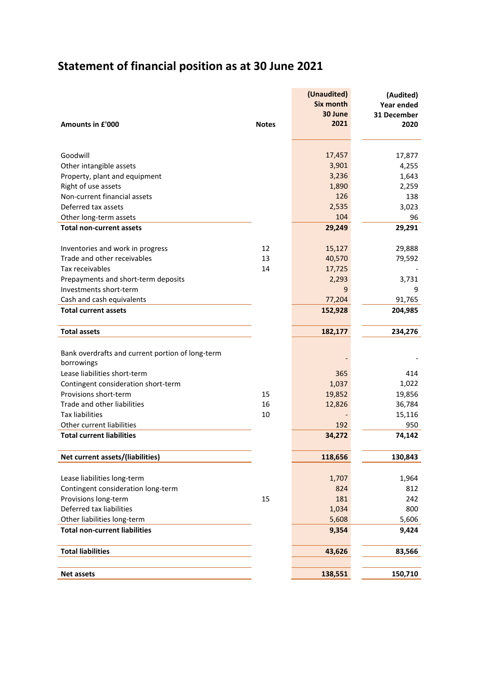# **Statement of financial position as at 30 June 2021**

|                                                          |              | (Unaudited)<br>Six month<br>30 June | (Audited)<br>Year ended<br>31 December |
|----------------------------------------------------------|--------------|-------------------------------------|----------------------------------------|
| Amounts in £'000                                         | <b>Notes</b> | 2021                                | 2020                                   |
|                                                          |              |                                     |                                        |
| Goodwill                                                 |              | 17,457<br>3,901                     | 17,877<br>4,255                        |
| Other intangible assets<br>Property, plant and equipment |              | 3,236                               | 1,643                                  |
| Right of use assets                                      |              | 1,890                               | 2,259                                  |
| Non-current financial assets                             |              | 126                                 | 138                                    |
| Deferred tax assets                                      |              | 2,535                               | 3,023                                  |
| Other long-term assets                                   |              | 104                                 | 96                                     |
| <b>Total non-current assets</b>                          |              | 29,249                              | 29,291                                 |
|                                                          |              |                                     |                                        |
| Inventories and work in progress                         | 12           | 15,127                              | 29,888                                 |
| Trade and other receivables                              | 13           | 40,570                              | 79,592                                 |
| Tax receivables                                          | 14           | 17,725                              |                                        |
| Prepayments and short-term deposits                      |              | 2,293                               | 3,731                                  |
| Investments short-term                                   |              | 9                                   | 9                                      |
| Cash and cash equivalents                                |              | 77,204                              | 91,765                                 |
| <b>Total current assets</b>                              |              | 152,928                             | 204,985                                |
| <b>Total assets</b>                                      |              | 182,177                             | 234,276                                |
| Bank overdrafts and current portion of long-term         |              |                                     |                                        |
| borrowings                                               |              |                                     |                                        |
| Lease liabilities short-term                             |              | 365                                 | 414                                    |
| Contingent consideration short-term                      |              | 1,037                               | 1,022                                  |
| Provisions short-term                                    | 15           | 19,852                              | 19,856                                 |
| Trade and other liabilities                              | 16           | 12,826                              | 36,784                                 |
| <b>Tax liabilities</b>                                   | 10           |                                     | 15,116                                 |
| Other current liabilities                                |              | 192                                 | 950                                    |
| <b>Total current liabilities</b>                         |              | 34,272                              | 74,142                                 |
| Net current assets/(liabilities)                         |              | 118,656                             | 130,843                                |
|                                                          |              |                                     |                                        |
| Lease liabilities long-term                              |              | 1,707                               | 1,964                                  |
| Contingent consideration long-term                       |              | 824                                 | 812                                    |
| Provisions long-term                                     | 15           | 181                                 | 242                                    |
| Deferred tax liabilities                                 |              | 1,034                               | 800                                    |
| Other liabilities long-term                              |              | 5,608                               | 5,606                                  |
| <b>Total non-current liabilities</b>                     |              | 9,354                               | 9,424                                  |
| <b>Total liabilities</b>                                 |              | 43,626                              | 83,566                                 |
|                                                          |              |                                     |                                        |
| <b>Net assets</b>                                        |              | 138,551                             | 150,710                                |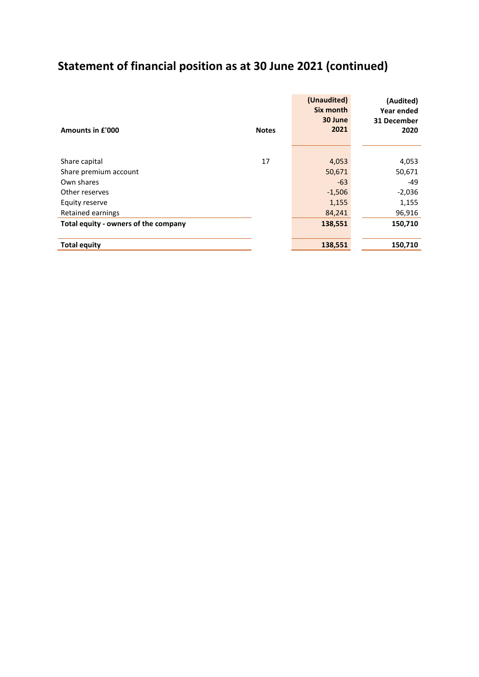# **Statement of financial position as at 30 June 2021 (continued)**

|                                      |              | (Unaudited)<br>Six month<br>30 June | (Audited)<br>Year ended<br>31 December |
|--------------------------------------|--------------|-------------------------------------|----------------------------------------|
| Amounts in £'000                     | <b>Notes</b> | 2021                                | 2020                                   |
|                                      |              |                                     |                                        |
| Share capital                        | 17           | 4,053                               | 4,053                                  |
| Share premium account                |              | 50,671                              | 50,671                                 |
| Own shares                           |              | $-63$                               | -49                                    |
| Other reserves                       |              | $-1,506$                            | $-2,036$                               |
| Equity reserve                       |              | 1,155                               | 1,155                                  |
| Retained earnings                    |              | 84,241                              | 96,916                                 |
| Total equity - owners of the company |              | 138,551                             | 150,710                                |
|                                      |              |                                     |                                        |
| <b>Total equity</b>                  |              | 138,551                             | 150,710                                |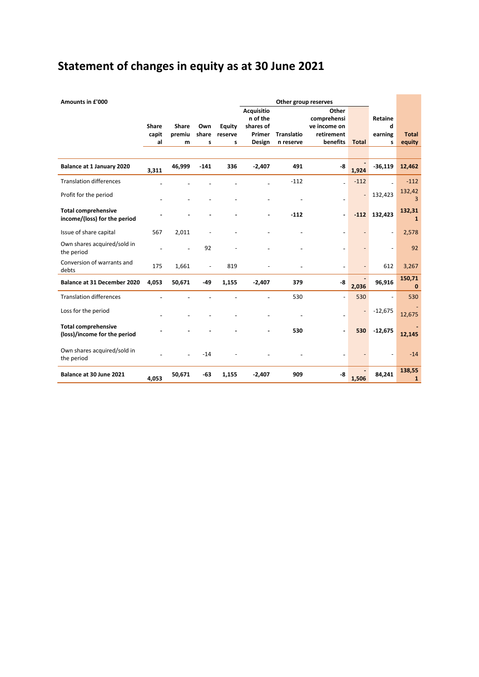# **Statement of changes in equity as at 30 June 2021**

| Amounts in £'000                                           |              |              |        |               |                   | Other group reserves |              |              |                          |                        |
|------------------------------------------------------------|--------------|--------------|--------|---------------|-------------------|----------------------|--------------|--------------|--------------------------|------------------------|
|                                                            |              |              |        |               | <b>Acquisitio</b> |                      | Other        |              |                          |                        |
|                                                            |              |              |        |               | n of the          |                      | comprehensi  |              | Retaine                  |                        |
|                                                            | <b>Share</b> | <b>Share</b> | Own    | <b>Equity</b> | shares of         |                      | ve income on |              | d                        |                        |
|                                                            | capit        | premiu       | share  | reserve       | Primer            | <b>Translatio</b>    | retirement   |              | earning                  | <b>Total</b>           |
|                                                            | al           | m            | s      | S             | Design            | n reserve            | benefits     | <b>Total</b> | S                        | equity                 |
|                                                            |              |              |        |               |                   |                      |              |              |                          |                        |
| Balance at 1 January 2020                                  | 3,311        | 46,999       | $-141$ | 336           | $-2,407$          | 491                  | -8           | 1,924        | $-36,119$                | 12,462                 |
| <b>Translation differences</b>                             |              |              |        |               |                   | $-112$               |              | $-112$       |                          | $-112$                 |
| Profit for the period                                      |              |              |        |               |                   |                      |              |              | 132,423                  | 132,42<br>3            |
| <b>Total comprehensive</b><br>income/(loss) for the period |              |              |        |               |                   | $-112$               |              | $-112$       | 132,423                  | 132,31<br>$\mathbf{1}$ |
| Issue of share capital                                     | 567          | 2,011        |        |               |                   |                      |              |              | $\overline{\phantom{a}}$ | 2,578                  |
| Own shares acquired/sold in<br>the period                  |              |              | 92     |               |                   |                      |              |              | $\overline{\phantom{a}}$ | 92                     |
| Conversion of warrants and<br>debts                        | 175          | 1,661        |        | 819           |                   |                      |              |              | 612                      | 3,267                  |
| <b>Balance at 31 December 2020</b>                         | 4,053        | 50,671       | $-49$  | 1,155         | $-2,407$          | 379                  | -8           | 2,036        | 96,916                   | 150,71<br>0            |
| <b>Translation differences</b>                             |              |              |        |               |                   | 530                  |              | 530          |                          | 530                    |
| Loss for the period                                        |              |              |        |               |                   |                      |              |              | $-12,675$                | 12,675                 |
| <b>Total comprehensive</b><br>(loss)/income for the period |              |              |        |               |                   | 530                  |              | 530          | $-12,675$                | 12,145                 |
| Own shares acquired/sold in<br>the period                  |              |              | $-14$  |               |                   |                      |              |              |                          | $-14$                  |
| Balance at 30 June 2021                                    | 4,053        | 50,671       | $-63$  | 1,155         | $-2,407$          | 909                  | -8           | 1,506        | 84,241                   | 138,55<br>$\mathbf{1}$ |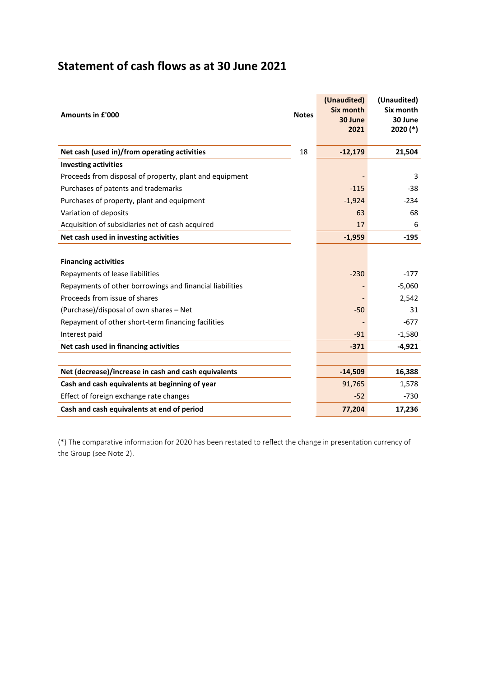# **Statement of cash flows as at 30 June 2021**

| Amounts in £'000                                         | <b>Notes</b> | (Unaudited)<br>Six month<br>30 June<br>2021 | (Unaudited)<br>Six month<br>30 June<br>$2020$ (*) |
|----------------------------------------------------------|--------------|---------------------------------------------|---------------------------------------------------|
| Net cash (used in)/from operating activities             | 18           | $-12,179$                                   | 21,504                                            |
| <b>Investing activities</b>                              |              |                                             |                                                   |
| Proceeds from disposal of property, plant and equipment  |              |                                             | 3                                                 |
| Purchases of patents and trademarks                      |              | $-115$                                      | $-38$                                             |
| Purchases of property, plant and equipment               |              | $-1,924$                                    | $-234$                                            |
| Variation of deposits                                    |              | 63                                          | 68                                                |
| Acquisition of subsidiaries net of cash acquired         |              | 17                                          | 6                                                 |
| Net cash used in investing activities                    |              | $-1,959$                                    | $-195$                                            |
| <b>Financing activities</b>                              |              |                                             |                                                   |
| Repayments of lease liabilities                          |              | $-230$                                      | $-177$                                            |
| Repayments of other borrowings and financial liabilities |              |                                             | $-5,060$                                          |
| Proceeds from issue of shares                            |              |                                             | 2,542                                             |
| (Purchase)/disposal of own shares - Net                  |              | $-50$                                       | 31                                                |
| Repayment of other short-term financing facilities       |              |                                             | $-677$                                            |
| Interest paid                                            |              | $-91$                                       | $-1,580$                                          |
| Net cash used in financing activities                    |              | $-371$                                      | $-4,921$                                          |
|                                                          |              |                                             |                                                   |
| Net (decrease)/increase in cash and cash equivalents     |              | $-14,509$                                   | 16,388                                            |
| Cash and cash equivalents at beginning of year           |              | 91,765                                      | 1,578                                             |
| Effect of foreign exchange rate changes                  |              | $-52$                                       | $-730$                                            |
| Cash and cash equivalents at end of period               |              | 77,204                                      | 17,236                                            |

(\*) The comparative information for 2020 has been restated to reflect the change in presentation currency of the Group (see Note 2).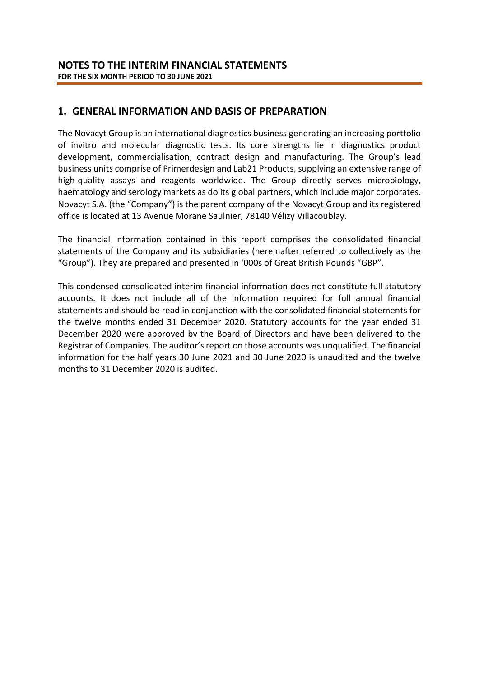# **1. GENERAL INFORMATION AND BASIS OF PREPARATION**

The Novacyt Group is an international diagnostics business generating an increasing portfolio of invitro and molecular diagnostic tests. Its core strengths lie in diagnostics product development, commercialisation, contract design and manufacturing. The Group's lead business units comprise of Primerdesign and Lab21 Products, supplying an extensive range of high-quality assays and reagents worldwide. The Group directly serves microbiology, haematology and serology markets as do its global partners, which include major corporates. Novacyt S.A. (the "Company") is the parent company of the Novacyt Group and its registered office is located at 13 Avenue Morane Saulnier, 78140 Vélizy Villacoublay.

The financial information contained in this report comprises the consolidated financial statements of the Company and its subsidiaries (hereinafter referred to collectively as the "Group"). They are prepared and presented in '000s of Great British Pounds "GBP".

This condensed consolidated interim financial information does not constitute full statutory accounts. It does not include all of the information required for full annual financial statements and should be read in conjunction with the consolidated financial statements for the twelve months ended 31 December 2020. Statutory accounts for the year ended 31 December 2020 were approved by the Board of Directors and have been delivered to the Registrar of Companies. The auditor's report on those accounts was unqualified. The financial information for the half years 30 June 2021 and 30 June 2020 is unaudited and the twelve months to 31 December 2020 is audited.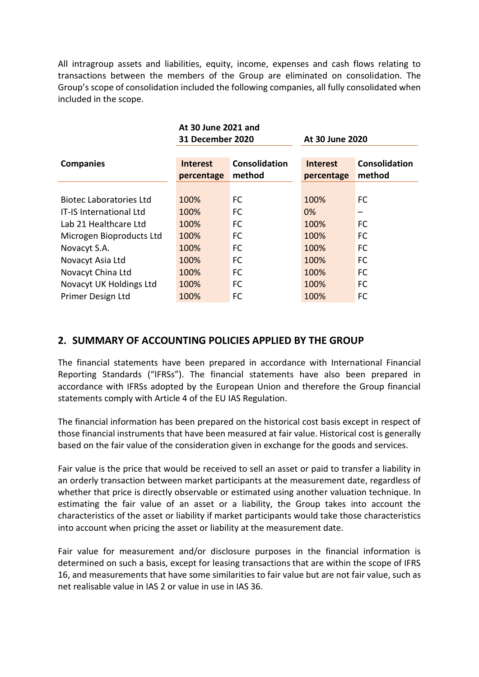All intragroup assets and liabilities, equity, income, expenses and cash flows relating to transactions between the members of the Group are eliminated on consolidation. The Group's scope of consolidation included the following companies, all fully consolidated when included in the scope.

|                                | At 30 June 2021 and |                      |                 |                      |  |
|--------------------------------|---------------------|----------------------|-----------------|----------------------|--|
|                                | 31 December 2020    |                      | At 30 June 2020 |                      |  |
|                                |                     |                      |                 |                      |  |
| <b>Companies</b>               | <b>Interest</b>     | <b>Consolidation</b> | <b>Interest</b> | <b>Consolidation</b> |  |
|                                | percentage          | method               | percentage      | method               |  |
|                                |                     |                      |                 |                      |  |
| <b>Biotec Laboratories Ltd</b> | 100%                | FC                   | 100%            | <b>FC</b>            |  |
| <b>IT-IS International Ltd</b> | 100%                | FC                   | 0%              |                      |  |
| Lab 21 Healthcare Ltd          | 100%                | FC                   | 100%            | <b>FC</b>            |  |
| Microgen Bioproducts Ltd       | 100%                | FC                   | 100%            | FC                   |  |
| Novacyt S.A.                   | 100%                | <b>FC</b>            | 100%            | FC                   |  |
| Novacyt Asia Ltd               | 100%                | FC                   | 100%            | FC                   |  |
| Novacyt China Ltd              | 100%                | <b>FC</b>            | 100%            | <b>FC</b>            |  |
| Novacyt UK Holdings Ltd        | 100%                | FC                   | 100%            | FC                   |  |
| Primer Design Ltd              | 100%                | FC                   | 100%            | FC                   |  |

# **2. SUMMARY OF ACCOUNTING POLICIES APPLIED BY THE GROUP**

The financial statements have been prepared in accordance with International Financial Reporting Standards ("IFRSs"). The financial statements have also been prepared in accordance with IFRSs adopted by the European Union and therefore the Group financial statements comply with Article 4 of the EU IAS Regulation.

The financial information has been prepared on the historical cost basis except in respect of those financial instruments that have been measured at fair value. Historical cost is generally based on the fair value of the consideration given in exchange for the goods and services.

Fair value is the price that would be received to sell an asset or paid to transfer a liability in an orderly transaction between market participants at the measurement date, regardless of whether that price is directly observable or estimated using another valuation technique. In estimating the fair value of an asset or a liability, the Group takes into account the characteristics of the asset or liability if market participants would take those characteristics into account when pricing the asset or liability at the measurement date.

Fair value for measurement and/or disclosure purposes in the financial information is determined on such a basis, except for leasing transactions that are within the scope of IFRS 16, and measurements that have some similarities to fair value but are not fair value, such as net realisable value in IAS 2 or value in use in IAS 36.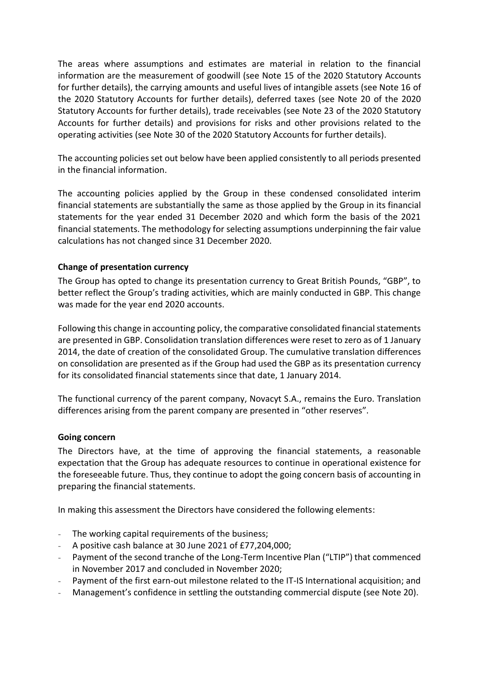The areas where assumptions and estimates are material in relation to the financial information are the measurement of goodwill (see Note 15 of the 2020 Statutory Accounts for further details), the carrying amounts and useful lives of intangible assets (see Note 16 of the 2020 Statutory Accounts for further details), deferred taxes (see Note 20 of the 2020 Statutory Accounts for further details), trade receivables (see Note 23 of the 2020 Statutory Accounts for further details) and provisions for risks and other provisions related to the operating activities (see Note 30 of the 2020 Statutory Accounts for further details).

The accounting policies set out below have been applied consistently to all periods presented in the financial information.

The accounting policies applied by the Group in these condensed consolidated interim financial statements are substantially the same as those applied by the Group in its financial statements for the year ended 31 December 2020 and which form the basis of the 2021 financial statements. The methodology for selecting assumptions underpinning the fair value calculations has not changed since 31 December 2020.

#### **Change of presentation currency**

The Group has opted to change its presentation currency to Great British Pounds, "GBP", to better reflect the Group's trading activities, which are mainly conducted in GBP. This change was made for the year end 2020 accounts.

Following this change in accounting policy, the comparative consolidated financial statements are presented in GBP. Consolidation translation differences were reset to zero as of 1 January 2014, the date of creation of the consolidated Group. The cumulative translation differences on consolidation are presented as if the Group had used the GBP as its presentation currency for its consolidated financial statements since that date, 1 January 2014.

The functional currency of the parent company, Novacyt S.A., remains the Euro. Translation differences arising from the parent company are presented in "other reserves".

#### **Going concern**

The Directors have, at the time of approving the financial statements, a reasonable expectation that the Group has adequate resources to continue in operational existence for the foreseeable future. Thus, they continue to adopt the going concern basis of accounting in preparing the financial statements.

In making this assessment the Directors have considered the following elements:

- The working capital requirements of the business:
- A positive cash balance at 30 June 2021 of £77,204,000;
- Payment of the second tranche of the Long-Term Incentive Plan ("LTIP") that commenced in November 2017 and concluded in November 2020;
- Payment of the first earn-out milestone related to the IT-IS International acquisition; and
- Management's confidence in settling the outstanding commercial dispute (see Note 20).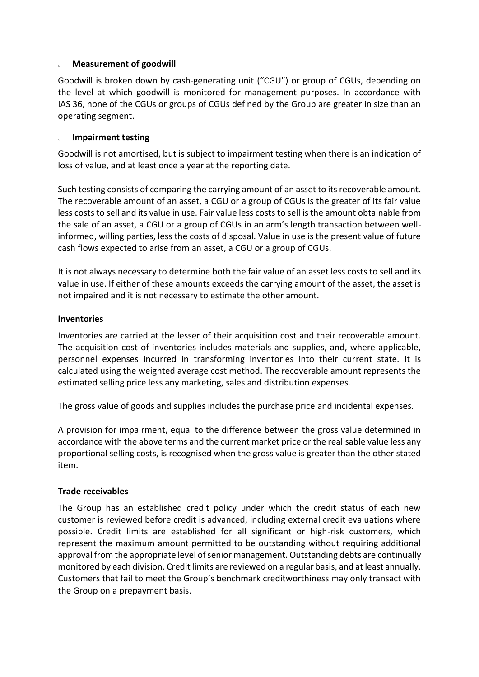#### <sup>o</sup> **Measurement of goodwill**

Goodwill is broken down by cash-generating unit ("CGU") or group of CGUs, depending on the level at which goodwill is monitored for management purposes. In accordance with IAS 36, none of the CGUs or groups of CGUs defined by the Group are greater in size than an operating segment.

#### <sup>o</sup> **Impairment testing**

Goodwill is not amortised, but is subject to impairment testing when there is an indication of loss of value, and at least once a year at the reporting date.

Such testing consists of comparing the carrying amount of an asset to its recoverable amount. The recoverable amount of an asset, a CGU or a group of CGUs is the greater of its fair value less costs to sell and its value in use. Fair value less costs to sell is the amount obtainable from the sale of an asset, a CGU or a group of CGUs in an arm's length transaction between wellinformed, willing parties, less the costs of disposal. Value in use is the present value of future cash flows expected to arise from an asset, a CGU or a group of CGUs.

It is not always necessary to determine both the fair value of an asset less costs to sell and its value in use. If either of these amounts exceeds the carrying amount of the asset, the asset is not impaired and it is not necessary to estimate the other amount.

#### **Inventories**

Inventories are carried at the lesser of their acquisition cost and their recoverable amount. The acquisition cost of inventories includes materials and supplies, and, where applicable, personnel expenses incurred in transforming inventories into their current state. It is calculated using the weighted average cost method. The recoverable amount represents the estimated selling price less any marketing, sales and distribution expenses.

The gross value of goods and supplies includes the purchase price and incidental expenses.

A provision for impairment, equal to the difference between the gross value determined in accordance with the above terms and the current market price or the realisable value less any proportional selling costs, is recognised when the gross value is greater than the other stated item.

#### **Trade receivables**

The Group has an established credit policy under which the credit status of each new customer is reviewed before credit is advanced, including external credit evaluations where possible. Credit limits are established for all significant or high-risk customers, which represent the maximum amount permitted to be outstanding without requiring additional approval from the appropriate level of senior management. Outstanding debts are continually monitored by each division. Credit limits are reviewed on a regular basis, and at least annually. Customers that fail to meet the Group's benchmark creditworthiness may only transact with the Group on a prepayment basis.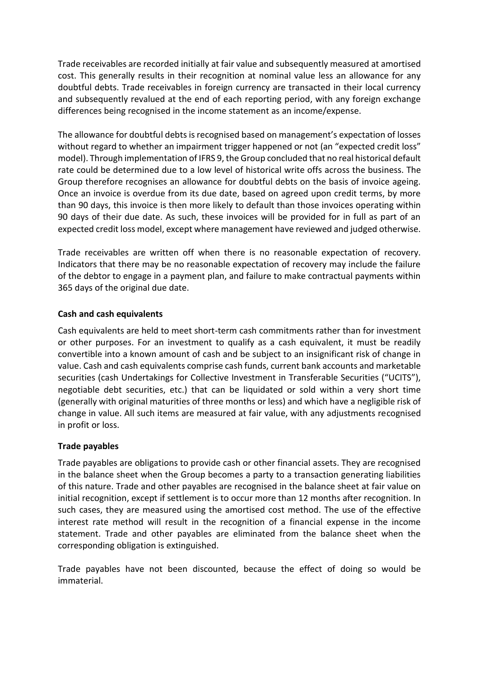Trade receivables are recorded initially at fair value and subsequently measured at amortised cost. This generally results in their recognition at nominal value less an allowance for any doubtful debts. Trade receivables in foreign currency are transacted in their local currency and subsequently revalued at the end of each reporting period, with any foreign exchange differences being recognised in the income statement as an income/expense.

The allowance for doubtful debts is recognised based on management's expectation of losses without regard to whether an impairment trigger happened or not (an "expected credit loss" model). Through implementation of IFRS 9, the Group concluded that no real historical default rate could be determined due to a low level of historical write offs across the business. The Group therefore recognises an allowance for doubtful debts on the basis of invoice ageing. Once an invoice is overdue from its due date, based on agreed upon credit terms, by more than 90 days, this invoice is then more likely to default than those invoices operating within 90 days of their due date. As such, these invoices will be provided for in full as part of an expected credit loss model, except where management have reviewed and judged otherwise.

Trade receivables are written off when there is no reasonable expectation of recovery. Indicators that there may be no reasonable expectation of recovery may include the failure of the debtor to engage in a payment plan, and failure to make contractual payments within 365 days of the original due date.

#### **Cash and cash equivalents**

Cash equivalents are held to meet short-term cash commitments rather than for investment or other purposes. For an investment to qualify as a cash equivalent, it must be readily convertible into a known amount of cash and be subject to an insignificant risk of change in value. Cash and cash equivalents comprise cash funds, current bank accounts and marketable securities (cash Undertakings for Collective Investment in Transferable Securities ("UCITS"), negotiable debt securities, etc.) that can be liquidated or sold within a very short time (generally with original maturities of three months or less) and which have a negligible risk of change in value. All such items are measured at fair value, with any adjustments recognised in profit or loss.

#### **Trade payables**

Trade payables are obligations to provide cash or other financial assets. They are recognised in the balance sheet when the Group becomes a party to a transaction generating liabilities of this nature. Trade and other payables are recognised in the balance sheet at fair value on initial recognition, except if settlement is to occur more than 12 months after recognition. In such cases, they are measured using the amortised cost method. The use of the effective interest rate method will result in the recognition of a financial expense in the income statement. Trade and other payables are eliminated from the balance sheet when the corresponding obligation is extinguished.

Trade payables have not been discounted, because the effect of doing so would be immaterial.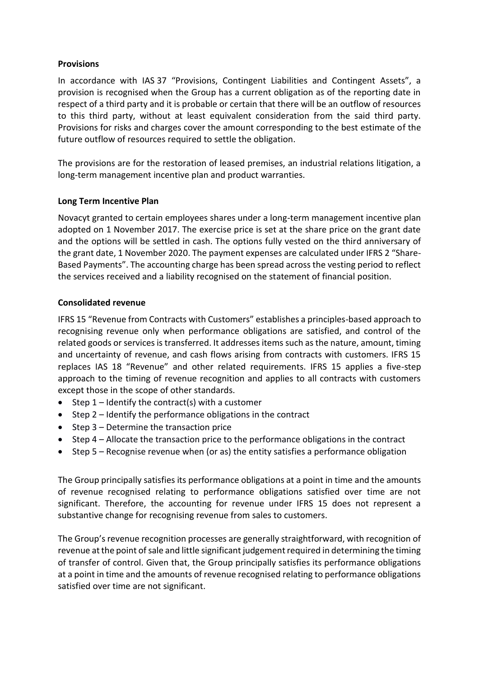#### **Provisions**

In accordance with IAS 37 "Provisions, Contingent Liabilities and Contingent Assets", a provision is recognised when the Group has a current obligation as of the reporting date in respect of a third party and it is probable or certain that there will be an outflow of resources to this third party, without at least equivalent consideration from the said third party. Provisions for risks and charges cover the amount corresponding to the best estimate of the future outflow of resources required to settle the obligation.

The provisions are for the restoration of leased premises, an industrial relations litigation, a long-term management incentive plan and product warranties.

#### **Long Term Incentive Plan**

Novacyt granted to certain employees shares under a long-term management incentive plan adopted on 1 November 2017. The exercise price is set at the share price on the grant date and the options will be settled in cash. The options fully vested on the third anniversary of the grant date, 1 November 2020. The payment expenses are calculated under IFRS 2 "Share-Based Payments". The accounting charge has been spread across the vesting period to reflect the services received and a liability recognised on the statement of financial position.

#### **Consolidated revenue**

IFRS 15 "Revenue from Contracts with Customers" establishes a principles-based approach to recognising revenue only when performance obligations are satisfied, and control of the related goods or services is transferred. It addresses items such as the nature, amount, timing and uncertainty of revenue, and cash flows arising from contracts with customers. IFRS 15 replaces IAS 18 "Revenue" and other related requirements. IFRS 15 applies a five-step approach to the timing of revenue recognition and applies to all contracts with customers except those in the scope of other standards.

- Step  $1$  Identify the contract(s) with a customer
- Step 2 Identify the performance obligations in the contract
- Step 3 Determine the transaction price
- Step 4 Allocate the transaction price to the performance obligations in the contract
- Step 5 Recognise revenue when (or as) the entity satisfies a performance obligation

The Group principally satisfies its performance obligations at a point in time and the amounts of revenue recognised relating to performance obligations satisfied over time are not significant. Therefore, the accounting for revenue under IFRS 15 does not represent a substantive change for recognising revenue from sales to customers.

The Group's revenue recognition processes are generally straightforward, with recognition of revenue at the point of sale and little significant judgement required in determining the timing of transfer of control. Given that, the Group principally satisfies its performance obligations at a point in time and the amounts of revenue recognised relating to performance obligations satisfied over time are not significant.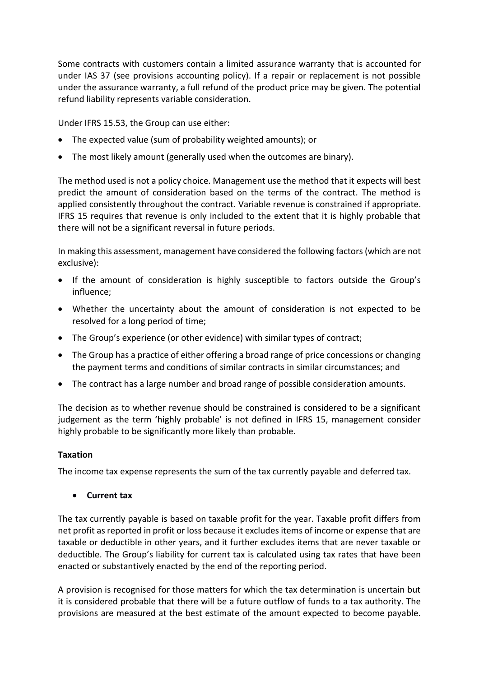Some contracts with customers contain a limited assurance warranty that is accounted for under IAS 37 (see provisions accounting policy). If a repair or replacement is not possible under the assurance warranty, a full refund of the product price may be given. The potential refund liability represents variable consideration.

Under IFRS 15.53, the Group can use either:

- The expected value (sum of probability weighted amounts); or
- The most likely amount (generally used when the outcomes are binary).

The method used is not a policy choice. Management use the method that it expects will best predict the amount of consideration based on the terms of the contract. The method is applied consistently throughout the contract. Variable revenue is constrained if appropriate. IFRS 15 requires that revenue is only included to the extent that it is highly probable that there will not be a significant reversal in future periods.

In making this assessment, management have considered the following factors (which are not exclusive):

- If the amount of consideration is highly susceptible to factors outside the Group's influence;
- Whether the uncertainty about the amount of consideration is not expected to be resolved for a long period of time;
- The Group's experience (or other evidence) with similar types of contract;
- The Group has a practice of either offering a broad range of price concessions or changing the payment terms and conditions of similar contracts in similar circumstances; and
- The contract has a large number and broad range of possible consideration amounts.

The decision as to whether revenue should be constrained is considered to be a significant judgement as the term 'highly probable' is not defined in IFRS 15, management consider highly probable to be significantly more likely than probable.

#### **Taxation**

The income tax expense represents the sum of the tax currently payable and deferred tax.

#### • **Current tax**

The tax currently payable is based on taxable profit for the year. Taxable profit differs from net profit as reported in profit or loss because it excludes items of income or expense that are taxable or deductible in other years, and it further excludes items that are never taxable or deductible. The Group's liability for current tax is calculated using tax rates that have been enacted or substantively enacted by the end of the reporting period.

A provision is recognised for those matters for which the tax determination is uncertain but it is considered probable that there will be a future outflow of funds to a tax authority. The provisions are measured at the best estimate of the amount expected to become payable.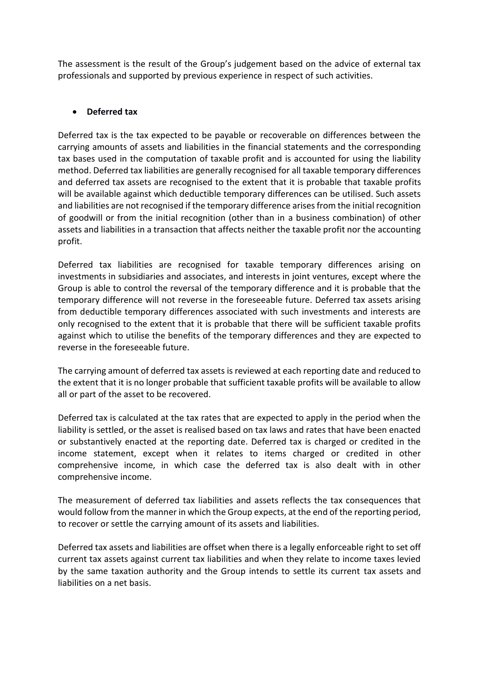The assessment is the result of the Group's judgement based on the advice of external tax professionals and supported by previous experience in respect of such activities.

### • **Deferred tax**

Deferred tax is the tax expected to be payable or recoverable on differences between the carrying amounts of assets and liabilities in the financial statements and the corresponding tax bases used in the computation of taxable profit and is accounted for using the liability method. Deferred tax liabilities are generally recognised for all taxable temporary differences and deferred tax assets are recognised to the extent that it is probable that taxable profits will be available against which deductible temporary differences can be utilised. Such assets and liabilities are not recognised if the temporary difference arises from the initial recognition of goodwill or from the initial recognition (other than in a business combination) of other assets and liabilities in a transaction that affects neither the taxable profit nor the accounting profit.

Deferred tax liabilities are recognised for taxable temporary differences arising on investments in subsidiaries and associates, and interests in joint ventures, except where the Group is able to control the reversal of the temporary difference and it is probable that the temporary difference will not reverse in the foreseeable future. Deferred tax assets arising from deductible temporary differences associated with such investments and interests are only recognised to the extent that it is probable that there will be sufficient taxable profits against which to utilise the benefits of the temporary differences and they are expected to reverse in the foreseeable future.

The carrying amount of deferred tax assets is reviewed at each reporting date and reduced to the extent that it is no longer probable that sufficient taxable profits will be available to allow all or part of the asset to be recovered.

Deferred tax is calculated at the tax rates that are expected to apply in the period when the liability is settled, or the asset is realised based on tax laws and rates that have been enacted or substantively enacted at the reporting date. Deferred tax is charged or credited in the income statement, except when it relates to items charged or credited in other comprehensive income, in which case the deferred tax is also dealt with in other comprehensive income.

The measurement of deferred tax liabilities and assets reflects the tax consequences that would follow from the manner in which the Group expects, at the end of the reporting period, to recover or settle the carrying amount of its assets and liabilities.

Deferred tax assets and liabilities are offset when there is a legally enforceable right to set off current tax assets against current tax liabilities and when they relate to income taxes levied by the same taxation authority and the Group intends to settle its current tax assets and liabilities on a net basis.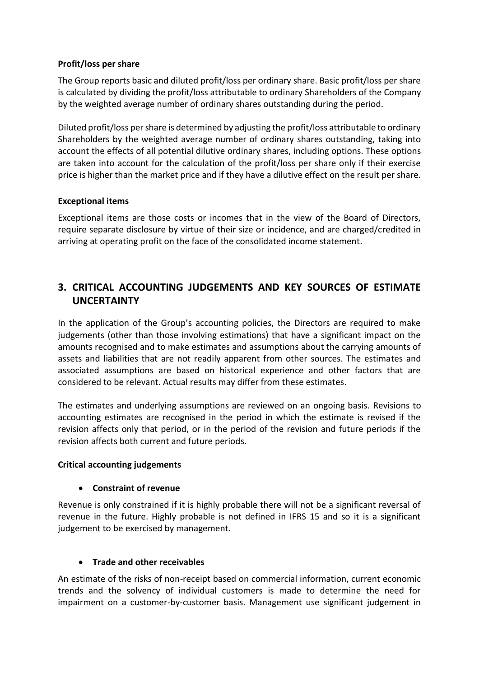#### **Profit/loss per share**

The Group reports basic and diluted profit/loss per ordinary share. Basic profit/loss per share is calculated by dividing the profit/loss attributable to ordinary Shareholders of the Company by the weighted average number of ordinary shares outstanding during the period.

Diluted profit/loss per share is determined by adjusting the profit/loss attributable to ordinary Shareholders by the weighted average number of ordinary shares outstanding, taking into account the effects of all potential dilutive ordinary shares, including options. These options are taken into account for the calculation of the profit/loss per share only if their exercise price is higher than the market price and if they have a dilutive effect on the result per share.

#### **Exceptional items**

Exceptional items are those costs or incomes that in the view of the Board of Directors, require separate disclosure by virtue of their size or incidence, and are charged/credited in arriving at operating profit on the face of the consolidated income statement.

# **3. CRITICAL ACCOUNTING JUDGEMENTS AND KEY SOURCES OF ESTIMATE UNCERTAINTY**

In the application of the Group's accounting policies, the Directors are required to make judgements (other than those involving estimations) that have a significant impact on the amounts recognised and to make estimates and assumptions about the carrying amounts of assets and liabilities that are not readily apparent from other sources. The estimates and associated assumptions are based on historical experience and other factors that are considered to be relevant. Actual results may differ from these estimates.

The estimates and underlying assumptions are reviewed on an ongoing basis. Revisions to accounting estimates are recognised in the period in which the estimate is revised if the revision affects only that period, or in the period of the revision and future periods if the revision affects both current and future periods.

#### **Critical accounting judgements**

#### • **Constraint of revenue**

Revenue is only constrained if it is highly probable there will not be a significant reversal of revenue in the future. Highly probable is not defined in IFRS 15 and so it is a significant judgement to be exercised by management.

#### • **Trade and other receivables**

An estimate of the risks of non-receipt based on commercial information, current economic trends and the solvency of individual customers is made to determine the need for impairment on a customer-by-customer basis. Management use significant judgement in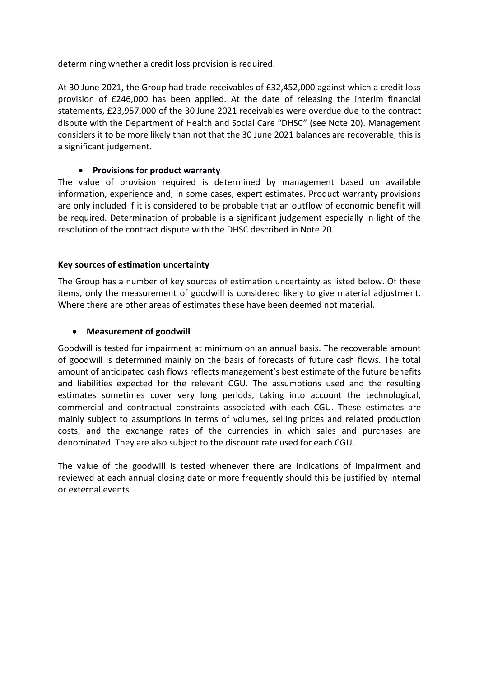determining whether a credit loss provision is required.

At 30 June 2021, the Group had trade receivables of £32,452,000 against which a credit loss provision of £246,000 has been applied. At the date of releasing the interim financial statements, £23,957,000 of the 30 June 2021 receivables were overdue due to the contract dispute with the Department of Health and Social Care "DHSC" (see Note 20). Management considers it to be more likely than not that the 30 June 2021 balances are recoverable; this is a significant judgement.

#### • **Provisions for product warranty**

The value of provision required is determined by management based on available information, experience and, in some cases, expert estimates. Product warranty provisions are only included if it is considered to be probable that an outflow of economic benefit will be required. Determination of probable is a significant judgement especially in light of the resolution of the contract dispute with the DHSC described in Note 20.

#### **Key sources of estimation uncertainty**

The Group has a number of key sources of estimation uncertainty as listed below. Of these items, only the measurement of goodwill is considered likely to give material adjustment. Where there are other areas of estimates these have been deemed not material.

#### • **Measurement of goodwill**

Goodwill is tested for impairment at minimum on an annual basis. The recoverable amount of goodwill is determined mainly on the basis of forecasts of future cash flows. The total amount of anticipated cash flows reflects management's best estimate of the future benefits and liabilities expected for the relevant CGU. The assumptions used and the resulting estimates sometimes cover very long periods, taking into account the technological, commercial and contractual constraints associated with each CGU. These estimates are mainly subject to assumptions in terms of volumes, selling prices and related production costs, and the exchange rates of the currencies in which sales and purchases are denominated. They are also subject to the discount rate used for each CGU.

The value of the goodwill is tested whenever there are indications of impairment and reviewed at each annual closing date or more frequently should this be justified by internal or external events.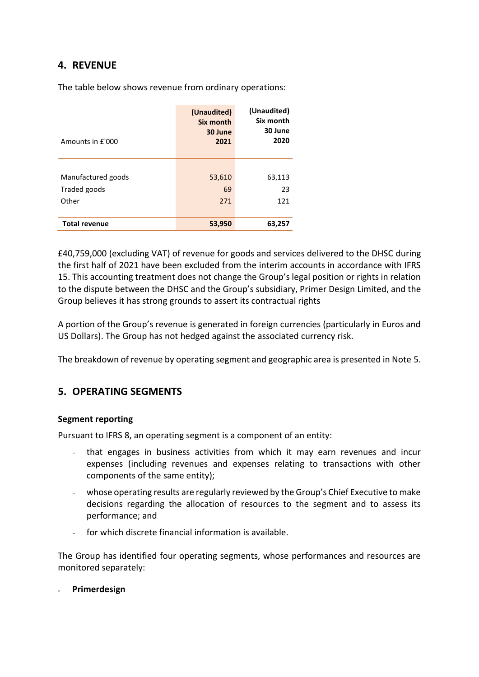# **4. REVENUE**

The table below shows revenue from ordinary operations:

| Amounts in £'000     | (Unaudited)<br>Six month<br>30 June<br>2021 | (Unaudited)<br>Six month<br>30 June<br>2020 |
|----------------------|---------------------------------------------|---------------------------------------------|
|                      |                                             |                                             |
| Manufactured goods   | 53,610                                      | 63,113                                      |
| Traded goods         | 69                                          | 23                                          |
| Other                | 271                                         | 121                                         |
|                      |                                             |                                             |
| <b>Total revenue</b> | 53,950                                      | 63,257                                      |

£40,759,000 (excluding VAT) of revenue for goods and services delivered to the DHSC during the first half of 2021 have been excluded from the interim accounts in accordance with IFRS 15. This accounting treatment does not change the Group's legal position or rights in relation to the dispute between the DHSC and the Group's subsidiary, Primer Design Limited, and the Group believes it has strong grounds to assert its contractual rights

A portion of the Group's revenue is generated in foreign currencies (particularly in Euros and US Dollars). The Group has not hedged against the associated currency risk.

The breakdown of revenue by operating segment and geographic area is presented in Note 5.

# **5. OPERATING SEGMENTS**

#### **Segment reporting**

Pursuant to IFRS 8, an operating segment is a component of an entity:

- that engages in business activities from which it may earn revenues and incur expenses (including revenues and expenses relating to transactions with other components of the same entity);
- whose operating results are regularly reviewed by the Group's Chief Executive to make decisions regarding the allocation of resources to the segment and to assess its performance; and
- for which discrete financial information is available.

The Group has identified four operating segments, whose performances and resources are monitored separately:

<sup>o</sup> **Primerdesign**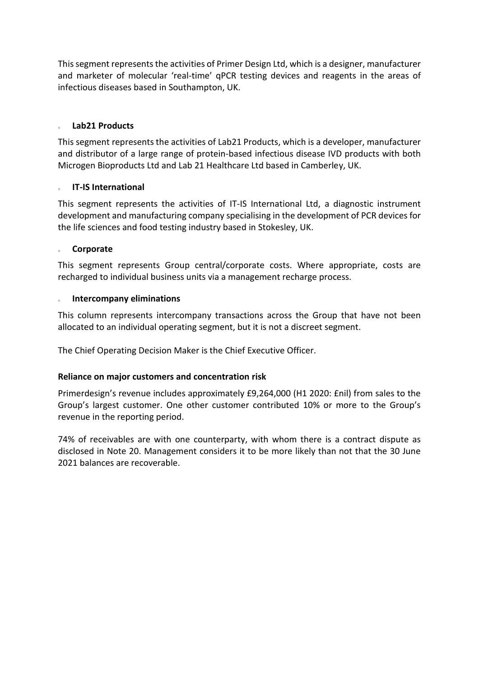This segment represents the activities of Primer Design Ltd, which is a designer, manufacturer and marketer of molecular 'real-time' qPCR testing devices and reagents in the areas of infectious diseases based in Southampton, UK.

#### Lab21 Products

This segment represents the activities of Lab21 Products, which is a developer, manufacturer and distributor of a large range of protein-based infectious disease IVD products with both Microgen Bioproducts Ltd and Lab 21 Healthcare Ltd based in Camberley, UK.

#### <sup>o</sup> **IT-IS International**

This segment represents the activities of IT-IS International Ltd, a diagnostic instrument development and manufacturing company specialising in the development of PCR devices for the life sciences and food testing industry based in Stokesley, UK.

#### <sup>o</sup> **Corporate**

This segment represents Group central/corporate costs. Where appropriate, costs are recharged to individual business units via a management recharge process.

#### <sup>o</sup> **Intercompany eliminations**

This column represents intercompany transactions across the Group that have not been allocated to an individual operating segment, but it is not a discreet segment.

The Chief Operating Decision Maker is the Chief Executive Officer.

#### **Reliance on major customers and concentration risk**

Primerdesign's revenue includes approximately £9,264,000 (H1 2020: £nil) from sales to the Group's largest customer. One other customer contributed 10% or more to the Group's revenue in the reporting period.

74% of receivables are with one counterparty, with whom there is a contract dispute as disclosed in Note 20. Management considers it to be more likely than not that the 30 June 2021 balances are recoverable.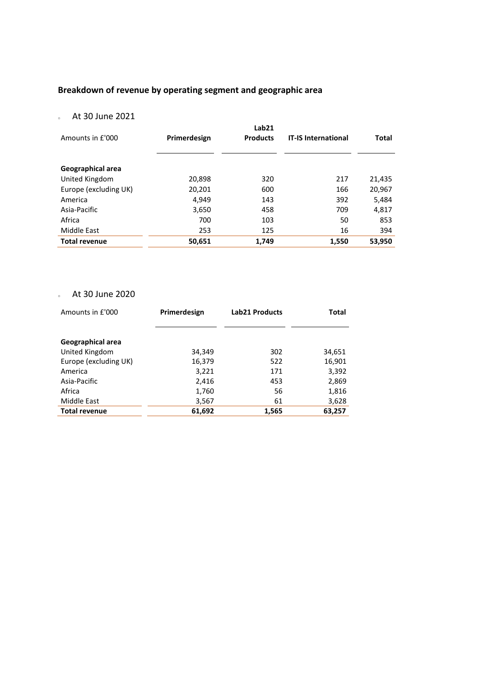# **Breakdown of revenue by operating segment and geographic area**

#### <sup>o</sup> At 30 June 2021

| Amounts in £'000      | Primerdesign | Lab <sub>21</sub><br><b>Products</b> | <b>IT-IS International</b> | Total  |
|-----------------------|--------------|--------------------------------------|----------------------------|--------|
| Geographical area     |              |                                      |                            |        |
| United Kingdom        | 20,898       | 320                                  | 217                        | 21,435 |
| Europe (excluding UK) | 20,201       | 600                                  | 166                        | 20,967 |
| America               | 4,949        | 143                                  | 392                        | 5,484  |
| Asia-Pacific          | 3,650        | 458                                  | 709                        | 4,817  |
| Africa                | 700          | 103                                  | 50                         | 853    |
| Middle East           | 253          | 125                                  | 16                         | 394    |
| <b>Total revenue</b>  | 50,651       | 1,749                                | 1,550                      | 53,950 |

#### <sup>o</sup> At 30 June 2020

| Amounts in £'000      | Primerdesign | Lab21 Products | <b>Total</b> |
|-----------------------|--------------|----------------|--------------|
|                       |              |                |              |
| Geographical area     |              |                |              |
| United Kingdom        | 34,349       | 302            | 34,651       |
| Europe (excluding UK) | 16,379       | 522            | 16,901       |
| America               | 3,221        | 171            | 3,392        |
| Asia-Pacific          | 2,416        | 453            | 2,869        |
| Africa                | 1,760        | 56             | 1,816        |
| Middle East           | 3,567        | 61             | 3,628        |
| <b>Total revenue</b>  | 61,692       | 1,565          | 63,257       |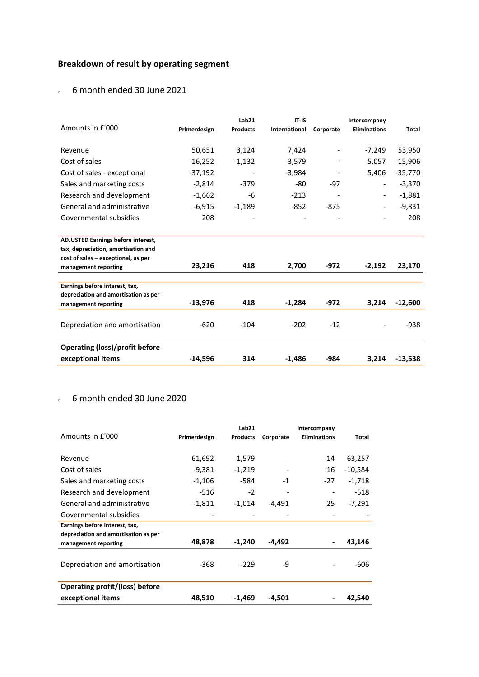# **Breakdown of result by operating segment**

# <sup>o</sup> 6 month ended 30 June 2021

|                                           |              | Lab <sub>21</sub> | IT-IS                |           | Intercompany             |              |
|-------------------------------------------|--------------|-------------------|----------------------|-----------|--------------------------|--------------|
| Amounts in £'000                          | Primerdesign | <b>Products</b>   | <b>International</b> | Corporate | <b>Eliminations</b>      | <b>Total</b> |
|                                           |              |                   |                      |           |                          |              |
| Revenue                                   | 50,651       | 3,124             | 7,424                |           | -7,249                   | 53,950       |
| Cost of sales                             | $-16,252$    | $-1,132$          | $-3,579$             |           | 5,057                    | $-15,906$    |
| Cost of sales - exceptional               | $-37,192$    |                   | $-3,984$             |           | 5,406                    | $-35,770$    |
| Sales and marketing costs                 | $-2,814$     | $-379$            | -80                  | -97       | $\overline{\phantom{a}}$ | $-3,370$     |
| Research and development                  | $-1,662$     | -6                | $-213$               |           |                          | $-1,881$     |
| General and administrative                | $-6,915$     | $-1,189$          | $-852$               | $-875$    |                          | $-9,831$     |
| Governmental subsidies                    | 208          |                   | -                    |           |                          | 208          |
|                                           |              |                   |                      |           |                          |              |
| <b>ADJUSTED Earnings before interest,</b> |              |                   |                      |           |                          |              |
| tax, depreciation, amortisation and       |              |                   |                      |           |                          |              |
| cost of sales - exceptional, as per       |              |                   |                      |           |                          |              |
| management reporting                      | 23,216       | 418               | 2,700                | -972      | $-2,192$                 | 23,170       |
|                                           |              |                   |                      |           |                          |              |
| Earnings before interest, tax,            |              |                   |                      |           |                          |              |
| depreciation and amortisation as per      |              | 418               | $-1.284$             | -972      | 3.214                    |              |
| management reporting                      | $-13,976$    |                   |                      |           |                          | $-12,600$    |
|                                           |              |                   |                      |           |                          |              |
| Depreciation and amortisation             | $-620$       | $-104$            | $-202$               | $-12$     |                          | $-938$       |
|                                           |              |                   |                      |           |                          |              |
| <b>Operating (loss)/profit before</b>     |              |                   |                      |           |                          |              |
| exceptional items                         | $-14,596$    | 314               | $-1.486$             | -984      | 3.214                    | $-13.538$    |

#### <sup>o</sup> 6 month ended 30 June 2020

| Amounts in £'000                                                                               | Primerdesign | Lab <sub>21</sub><br><b>Products</b> | Corporate | Intercompany<br><b>Eliminations</b> | Total     |
|------------------------------------------------------------------------------------------------|--------------|--------------------------------------|-----------|-------------------------------------|-----------|
| Revenue                                                                                        | 61,692       | 1,579                                |           | $-14$                               | 63,257    |
| Cost of sales                                                                                  | $-9,381$     | -1,219                               |           | 16                                  | $-10,584$ |
| Sales and marketing costs                                                                      | $-1,106$     | -584                                 | $-1$      | $-27$                               | $-1,718$  |
| Research and development                                                                       | $-516$       | $-2$                                 |           |                                     | $-518$    |
| General and administrative                                                                     | $-1,811$     | $-1,014$                             | $-4.491$  | 25                                  | $-7,291$  |
| Governmental subsidies                                                                         |              |                                      |           |                                     |           |
| Earnings before interest, tax,<br>depreciation and amortisation as per<br>management reporting | 48,878       | $-1,240$                             | -4,492    |                                     | 43,146    |
| Depreciation and amortisation                                                                  | -368         | $-229$                               | -9        |                                     | -606      |
| Operating profit/(loss) before                                                                 |              |                                      |           |                                     |           |
| exceptional items                                                                              | 48,510       | $-1.469$                             | -4,501    |                                     | 42,540    |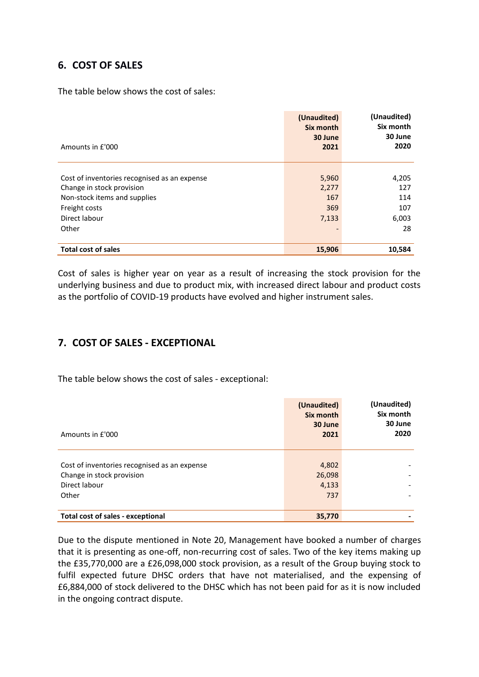# **6. COST OF SALES**

The table below shows the cost of sales:

| Amounts in £'000                             | (Unaudited)<br><b>Six month</b><br>30 June<br>2021 | (Unaudited)<br>Six month<br>30 June<br>2020 |
|----------------------------------------------|----------------------------------------------------|---------------------------------------------|
|                                              |                                                    |                                             |
| Cost of inventories recognised as an expense | 5,960                                              | 4,205                                       |
| Change in stock provision                    | 2,277                                              | 127                                         |
| Non-stock items and supplies                 | 167                                                | 114                                         |
| Freight costs                                | 369                                                | 107                                         |
| Direct labour                                | 7,133                                              | 6,003                                       |
| Other                                        |                                                    | 28                                          |
|                                              |                                                    |                                             |
| <b>Total cost of sales</b>                   | 15,906                                             | 10,584                                      |

Cost of sales is higher year on year as a result of increasing the stock provision for the underlying business and due to product mix, with increased direct labour and product costs as the portfolio of COVID-19 products have evolved and higher instrument sales.

# **7. COST OF SALES - EXCEPTIONAL**

The table below shows the cost of sales - exceptional:

| Amounts in £'000                                                                                    | (Unaudited)<br>Six month<br>30 June<br>2021 | (Unaudited)<br>Six month<br>30 June<br>2020 |
|-----------------------------------------------------------------------------------------------------|---------------------------------------------|---------------------------------------------|
| Cost of inventories recognised as an expense<br>Change in stock provision<br>Direct labour<br>Other | 4,802<br>26,098<br>4,133<br>737             |                                             |
| Total cost of sales - exceptional                                                                   | 35,770                                      |                                             |

Due to the dispute mentioned in Note 20, Management have booked a number of charges that it is presenting as one-off, non-recurring cost of sales. Two of the key items making up the £35,770,000 are a £26,098,000 stock provision, as a result of the Group buying stock to fulfil expected future DHSC orders that have not materialised, and the expensing of £6,884,000 of stock delivered to the DHSC which has not been paid for as it is now included in the ongoing contract dispute.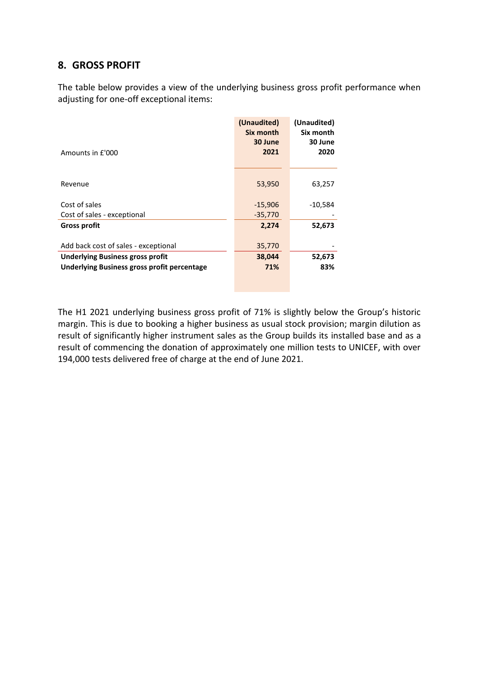# **8. GROSS PROFIT**

The table below provides a view of the underlying business gross profit performance when adjusting for one-off exceptional items:

| Amounts in £'000                                   | (Unaudited)<br>Six month<br>30 June<br>2021 | (Unaudited)<br>Six month<br>30 June<br>2020 |
|----------------------------------------------------|---------------------------------------------|---------------------------------------------|
| Revenue                                            | 53,950                                      | 63,257                                      |
| Cost of sales<br>Cost of sales - exceptional       | $-15,906$<br>$-35,770$                      | -10,584                                     |
| <b>Gross profit</b>                                | 2,274                                       | 52,673                                      |
| Add back cost of sales - exceptional               | 35,770                                      |                                             |
| <b>Underlying Business gross profit</b>            | 38,044                                      | 52,673                                      |
| <b>Underlying Business gross profit percentage</b> | 71%                                         | 83%                                         |

The H1 2021 underlying business gross profit of 71% is slightly below the Group's historic margin. This is due to booking a higher business as usual stock provision; margin dilution as result of significantly higher instrument sales as the Group builds its installed base and as a result of commencing the donation of approximately one million tests to UNICEF, with over 194,000 tests delivered free of charge at the end of June 2021.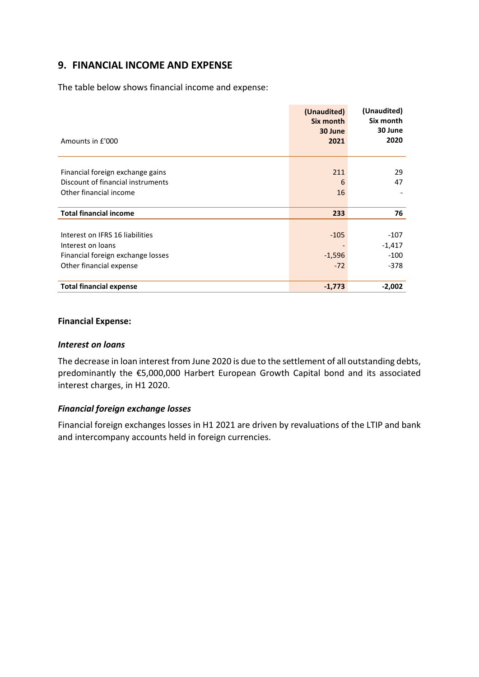# **9. FINANCIAL INCOME AND EXPENSE**

The table below shows financial income and expense:

|                                   | (Unaudited)<br>Six month<br>30 June | (Unaudited)<br>Six month<br>30 June |
|-----------------------------------|-------------------------------------|-------------------------------------|
| Amounts in £'000                  | 2021                                | 2020                                |
| Financial foreign exchange gains  | 211                                 | 29                                  |
| Discount of financial instruments | 6                                   | 47                                  |
| Other financial income            | 16                                  |                                     |
| <b>Total financial income</b>     | 233                                 | 76                                  |
|                                   |                                     |                                     |
| Interest on IFRS 16 liabilities   | $-105$                              | $-107$                              |
| Interest on loans                 |                                     | $-1,417$                            |
| Financial foreign exchange losses | $-1,596$                            | $-100$                              |
| Other financial expense           | $-72$                               | $-378$                              |
| <b>Total financial expense</b>    | $-1,773$                            | $-2,002$                            |

#### **Financial Expense:**

#### *Interest on loans*

The decrease in loan interest from June 2020 is due to the settlement of all outstanding debts, predominantly the €5,000,000 Harbert European Growth Capital bond and its associated interest charges, in H1 2020.

#### *Financial foreign exchange losses*

Financial foreign exchanges losses in H1 2021 are driven by revaluations of the LTIP and bank and intercompany accounts held in foreign currencies.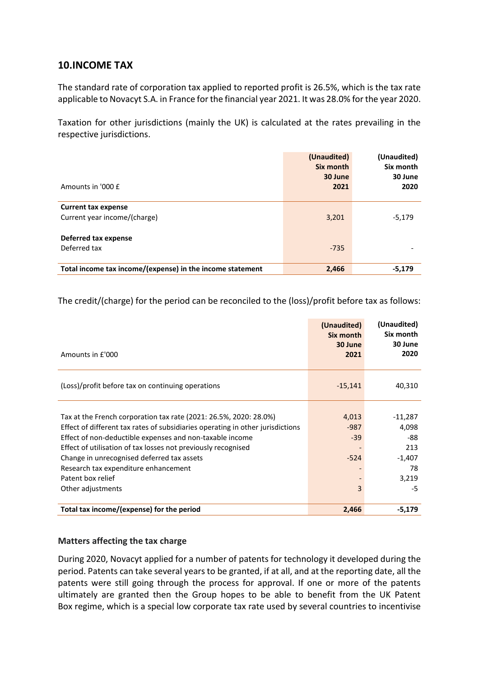## **10.INCOME TAX**

The standard rate of corporation tax applied to reported profit is 26.5%, which is the tax rate applicable to Novacyt S.A. in France for the financial year 2021. It was 28.0% for the year 2020.

Taxation for other jurisdictions (mainly the UK) is calculated at the rates prevailing in the respective jurisdictions.

| Amounts in '000 £                                          | (Unaudited)<br>Six month<br>30 June<br>2021 | (Unaudited)<br>Six month<br>30 June<br>2020 |
|------------------------------------------------------------|---------------------------------------------|---------------------------------------------|
| <b>Current tax expense</b><br>Current year income/(charge) | 3,201                                       | $-5,179$                                    |
| Deferred tax expense<br>Deferred tax                       | $-735$                                      |                                             |
| Total income tax income/(expense) in the income statement  | 2,466                                       | $-5.179$                                    |

The credit/(charge) for the period can be reconciled to the (loss)/profit before tax as follows:

|                                                                                | (Unaudited)<br>Six month<br>30 June | (Unaudited)<br>Six month<br>30 June |
|--------------------------------------------------------------------------------|-------------------------------------|-------------------------------------|
| Amounts in £'000                                                               | 2021                                | 2020                                |
| (Loss)/profit before tax on continuing operations                              | $-15,141$                           | 40,310                              |
|                                                                                |                                     |                                     |
| Tax at the French corporation tax rate (2021: 26.5%, 2020: 28.0%)              | 4,013                               | $-11,287$                           |
| Effect of different tax rates of subsidiaries operating in other jurisdictions | $-987$                              | 4,098                               |
| Effect of non-deductible expenses and non-taxable income                       | $-39$                               | -88                                 |
| Effect of utilisation of tax losses not previously recognised                  |                                     | 213                                 |
| Change in unrecognised deferred tax assets                                     | $-524$                              | $-1,407$                            |
| Research tax expenditure enhancement                                           |                                     | 78                                  |
| Patent box relief                                                              |                                     | 3,219                               |
| Other adjustments                                                              | 3                                   | -5                                  |
| Total tax income/(expense) for the period                                      | 2,466                               | $-5,179$                            |

#### **Matters affecting the tax charge**

During 2020, Novacyt applied for a number of patents for technology it developed during the period. Patents can take several years to be granted, if at all, and at the reporting date, all the patents were still going through the process for approval. If one or more of the patents ultimately are granted then the Group hopes to be able to benefit from the UK Patent Box regime, which is a special low corporate tax rate used by several countries to incentivise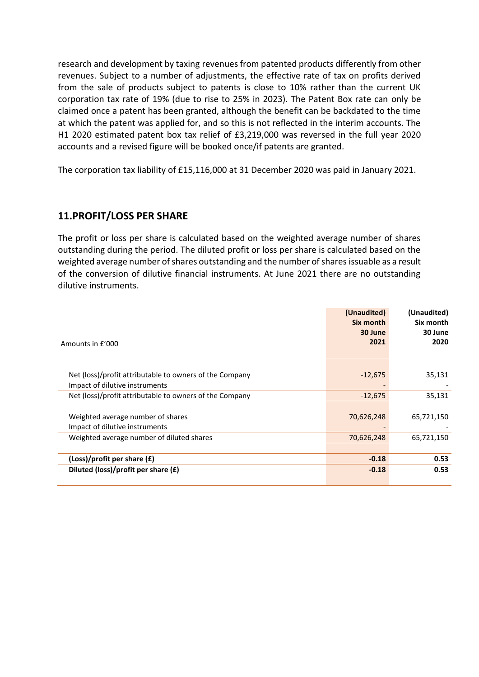research and development by taxing revenues from patented products differently from other revenues. Subject to a number of adjustments, the effective rate of tax on profits derived from the sale of products subject to patents is close to 10% rather than the current UK corporation tax rate of 19% (due to rise to 25% in 2023). The Patent Box rate can only be claimed once a patent has been granted, although the benefit can be backdated to the time at which the patent was applied for, and so this is not reflected in the interim accounts. The H1 2020 estimated patent box tax relief of £3,219,000 was reversed in the full year 2020 accounts and a revised figure will be booked once/if patents are granted.

The corporation tax liability of £15,116,000 at 31 December 2020 was paid in January 2021.

# **11.PROFIT/LOSS PER SHARE**

The profit or loss per share is calculated based on the weighted average number of shares outstanding during the period. The diluted profit or loss per share is calculated based on the weighted average number of shares outstanding and the number of shares issuable as a result of the conversion of dilutive financial instruments. At June 2021 there are no outstanding dilutive instruments.

| Amounts in £'000                                                                          | (Unaudited)<br>Six month<br>30 June<br>2021 | (Unaudited)<br>Six month<br>30 June<br>2020 |
|-------------------------------------------------------------------------------------------|---------------------------------------------|---------------------------------------------|
| Net (loss)/profit attributable to owners of the Company<br>Impact of dilutive instruments | $-12,675$                                   | 35,131                                      |
| Net (loss)/profit attributable to owners of the Company                                   | $-12,675$                                   | 35,131                                      |
| Weighted average number of shares<br>Impact of dilutive instruments                       | 70,626,248                                  | 65,721,150                                  |
| Weighted average number of diluted shares                                                 | 70,626,248                                  | 65,721,150                                  |
|                                                                                           |                                             |                                             |
| (Loss)/profit per share (£)                                                               | $-0.18$                                     | 0.53                                        |
| Diluted (loss)/profit per share (£)                                                       | $-0.18$                                     | 0.53                                        |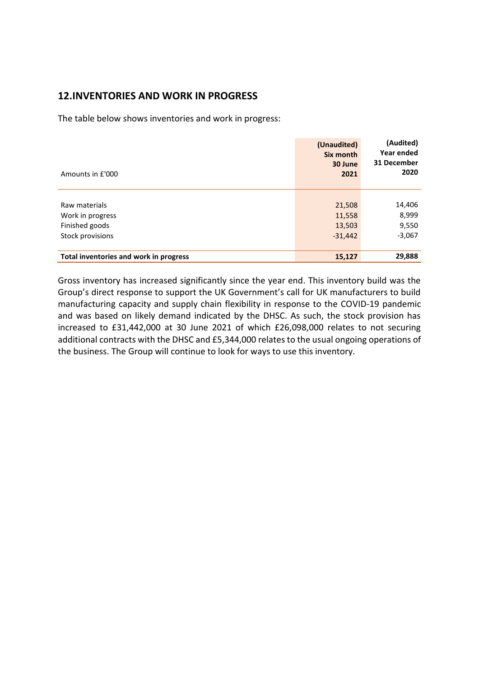# **12.INVENTORIES AND WORK IN PROGRESS**

The table below shows inventories and work in progress:

| Amounts in £'000                       | (Unaudited)<br>Six month<br>30 June<br>2021 | (Audited)<br>Year ended<br>31 December<br>2020 |
|----------------------------------------|---------------------------------------------|------------------------------------------------|
|                                        |                                             |                                                |
| Raw materials                          | 21,508                                      | 14,406                                         |
| Work in progress                       | 11,558                                      | 8,999                                          |
| Finished goods                         | 13,503                                      | 9,550                                          |
| Stock provisions                       | $-31,442$                                   | $-3,067$                                       |
|                                        |                                             |                                                |
| Total inventories and work in progress | 15,127                                      | 29,888                                         |

Gross inventory has increased significantly since the year end. This inventory build was the Group's direct response to support the UK Government's call for UK manufacturers to build manufacturing capacity and supply chain flexibility in response to the COVID-19 pandemic and was based on likely demand indicated by the DHSC. As such, the stock provision has increased to £31,442,000 at 30 June 2021 of which £26,098,000 relates to not securing additional contracts with the DHSC and £5,344,000 relates to the usual ongoing operations of the business. The Group will continue to look for ways to use this inventory.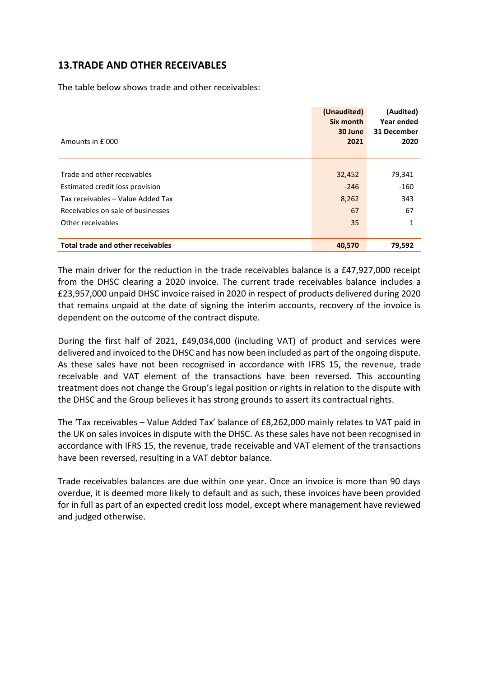# **13.TRADE AND OTHER RECEIVABLES**

The table below shows trade and other receivables:

|                                          | (Unaudited)<br>Six month | (Audited)<br>Year ended |
|------------------------------------------|--------------------------|-------------------------|
| Amounts in £'000                         | 30 June<br>2021          | 31 December<br>2020     |
|                                          |                          |                         |
| Trade and other receivables              | 32,452                   | 79,341                  |
| Estimated credit loss provision          | $-246$                   | $-160$                  |
| Tax receivables - Value Added Tax        | 8,262                    | 343                     |
| Receivables on sale of businesses        | 67                       | 67                      |
| Other receivables                        | 35                       | 1                       |
| <b>Total trade and other receivables</b> | 40,570                   | 79,592                  |

The main driver for the reduction in the trade receivables balance is a £47,927,000 receipt from the DHSC clearing a 2020 invoice. The current trade receivables balance includes a £23,957,000 unpaid DHSC invoice raised in 2020 in respect of products delivered during 2020 that remains unpaid at the date of signing the interim accounts, recovery of the invoice is dependent on the outcome of the contract dispute.

During the first half of 2021, £49,034,000 (including VAT) of product and services were delivered and invoiced to the DHSC and has now been included as part of the ongoing dispute. As these sales have not been recognised in accordance with IFRS 15, the revenue, trade receivable and VAT element of the transactions have been reversed. This accounting treatment does not change the Group's legal position or rights in relation to the dispute with the DHSC and the Group believes it has strong grounds to assert its contractual rights.

The 'Tax receivables – Value Added Tax' balance of £8,262,000 mainly relates to VAT paid in the UK on sales invoices in dispute with the DHSC. As these sales have not been recognised in accordance with IFRS 15, the revenue, trade receivable and VAT element of the transactions have been reversed, resulting in a VAT debtor balance.

Trade receivables balances are due within one year. Once an invoice is more than 90 days overdue, it is deemed more likely to default and as such, these invoices have been provided for in full as part of an expected credit loss model, except where management have reviewed and judged otherwise.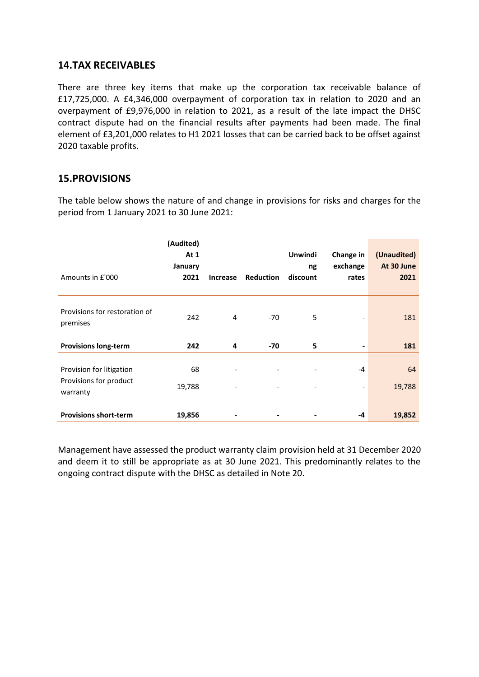## **14.TAX RECEIVABLES**

There are three key items that make up the corporation tax receivable balance of £17,725,000. A £4,346,000 overpayment of corporation tax in relation to 2020 and an overpayment of £9,976,000 in relation to 2021, as a result of the late impact the DHSC contract dispute had on the financial results after payments had been made. The final element of £3,201,000 relates to H1 2021 losses that can be carried back to be offset against 2020 taxable profits.

# **15.PROVISIONS**

The table below shows the nature of and change in provisions for risks and charges for the period from 1 January 2021 to 30 June 2021:

| Amounts in £'000                                               | (Audited)<br>At 1<br>January<br>2021 | <b>Increase</b> | <b>Reduction</b> | <b>Unwindi</b><br>ng<br>discount | Change in<br>exchange<br>rates | (Unaudited)<br>At 30 June<br>2021 |
|----------------------------------------------------------------|--------------------------------------|-----------------|------------------|----------------------------------|--------------------------------|-----------------------------------|
| Provisions for restoration of<br>premises                      | 242                                  | 4               | $-70$            | 5                                |                                | 181                               |
| <b>Provisions long-term</b>                                    | 242                                  | 4               | -70              | 5                                |                                | 181                               |
| Provision for litigation<br>Provisions for product<br>warranty | 68<br>19,788                         |                 |                  |                                  | $-4$                           | 64<br>19,788                      |
| <b>Provisions short-term</b>                                   | 19,856                               |                 |                  |                                  | -4                             | 19,852                            |

Management have assessed the product warranty claim provision held at 31 December 2020 and deem it to still be appropriate as at 30 June 2021. This predominantly relates to the ongoing contract dispute with the DHSC as detailed in Note 20.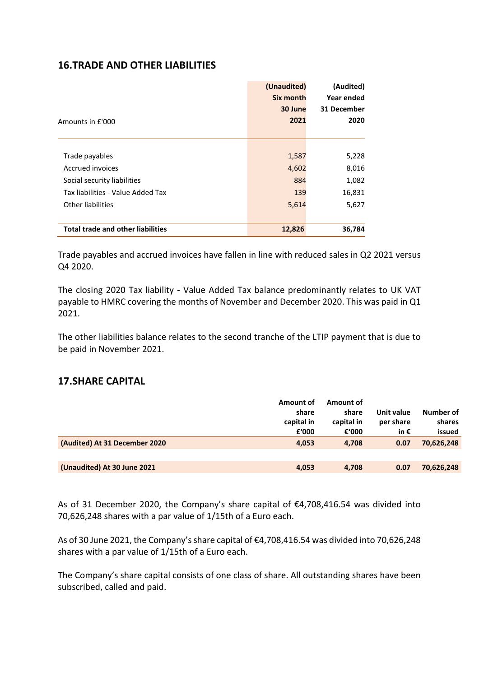## **16.TRADE AND OTHER LIABILITIES**

|                                          | (Unaudited) | (Audited)   |
|------------------------------------------|-------------|-------------|
|                                          | Six month   | Year ended  |
|                                          | 30 June     | 31 December |
| Amounts in £'000                         | 2021        | 2020        |
|                                          |             |             |
| Trade payables                           | 1,587       | 5,228       |
| Accrued invoices                         | 4,602       | 8,016       |
| Social security liabilities              | 884         | 1,082       |
| Tax liabilities - Value Added Tax        | 139         | 16,831      |
| <b>Other liabilities</b>                 | 5,614       | 5,627       |
| <b>Total trade and other liabilities</b> | 12,826      | 36,784      |
|                                          |             |             |

Trade payables and accrued invoices have fallen in line with reduced sales in Q2 2021 versus Q4 2020.

The closing 2020 Tax liability - Value Added Tax balance predominantly relates to UK VAT payable to HMRC covering the months of November and December 2020. This was paid in Q1 2021.

The other liabilities balance relates to the second tranche of the LTIP payment that is due to be paid in November 2021.

#### **17.SHARE CAPITAL**

| (Audited) At 31 December 2020 | Amount of<br>share<br>capital in<br>£'000<br>4,053 | Amount of<br>share<br>capital in<br>€'000<br>4,708 | Unit value<br>per share<br>in €<br>0.07 | Number of<br>shares<br>issued<br>70,626,248 |
|-------------------------------|----------------------------------------------------|----------------------------------------------------|-----------------------------------------|---------------------------------------------|
|                               |                                                    |                                                    |                                         |                                             |
| (Unaudited) At 30 June 2021   | 4,053                                              | 4,708                                              | 0.07                                    | 70,626,248                                  |

As of 31 December 2020, the Company's share capital of €4,708,416.54 was divided into 70,626,248 shares with a par value of 1/15th of a Euro each.

As of 30 June 2021, the Company's share capital of €4,708,416.54 was divided into 70,626,248 shares with a par value of 1/15th of a Euro each.

The Company's share capital consists of one class of share. All outstanding shares have been subscribed, called and paid.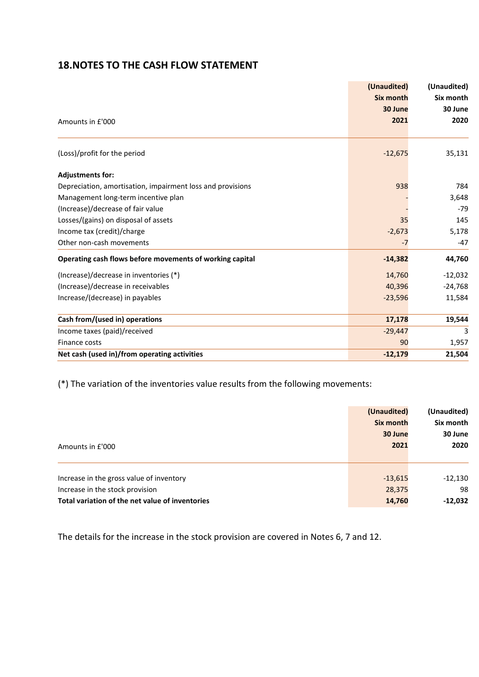# **18.NOTES TO THE CASH FLOW STATEMENT**

|                                                            | (Unaudited) | (Unaudited) |
|------------------------------------------------------------|-------------|-------------|
|                                                            | Six month   | Six month   |
|                                                            | 30 June     | 30 June     |
| Amounts in £'000                                           | 2021        | 2020        |
| (Loss)/profit for the period                               | $-12,675$   | 35,131      |
| <b>Adjustments for:</b>                                    |             |             |
| Depreciation, amortisation, impairment loss and provisions | 938         | 784         |
| Management long-term incentive plan                        |             | 3,648       |
| (Increase)/decrease of fair value                          |             | $-79$       |
| Losses/(gains) on disposal of assets                       | 35          | 145         |
| Income tax (credit)/charge                                 | $-2,673$    | 5,178       |
| Other non-cash movements                                   | $-7$        | -47         |
| Operating cash flows before movements of working capital   | $-14,382$   | 44,760      |
| (Increase)/decrease in inventories (*)                     | 14,760      | $-12,032$   |
| (Increase)/decrease in receivables                         | 40,396      | $-24,768$   |
| Increase/(decrease) in payables                            | $-23,596$   | 11,584      |
| Cash from/(used in) operations                             | 17,178      | 19,544      |
| Income taxes (paid)/received                               | $-29,447$   | 3           |
| Finance costs                                              | 90          | 1,957       |
| Net cash (used in)/from operating activities               | $-12,179$   | 21,504      |

(\*) The variation of the inventories value results from the following movements:

|                                                 | (Unaudited) | (Unaudited) |
|-------------------------------------------------|-------------|-------------|
|                                                 | Six month   | Six month   |
|                                                 | 30 June     | 30 June     |
| Amounts in £'000                                | 2021        | 2020        |
|                                                 |             |             |
|                                                 |             |             |
| Increase in the gross value of inventory        | $-13,615$   | $-12,130$   |
| Increase in the stock provision                 | 28,375      | 98          |
| Total variation of the net value of inventories | 14,760      | $-12,032$   |

The details for the increase in the stock provision are covered in Notes 6, 7 and 12.